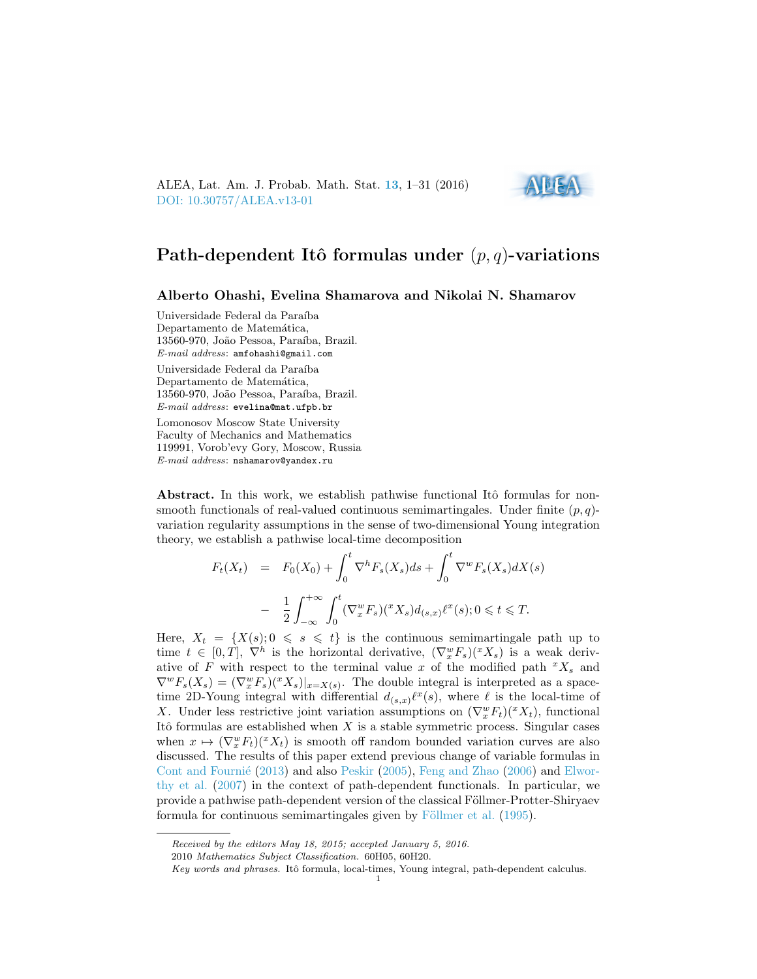ALEA, Lat. Am. J. Probab. Math. Stat. [13](http://alea.impa.br/english/index_v13.htm), 1–31 (2016) [DOI: 10.30757/ALEA.v13-01](https://doi.org/10.30757/ALEA.v13-01)



# Path-dependent Itô formulas under  $(p, q)$ -variations

Alberto Ohashi, Evelina Shamarova and Nikolai N. Shamarov

Universidade Federal da Paraíba Departamento de Matemática, 13560-970, João Pessoa, Paraíba, Brazil. E-mail address: amfohashi@gmail.com

Universidade Federal da Paraíba Departamento de Matemática, 13560-970, João Pessoa, Paraíba, Brazil. E-mail address: evelina@mat.ufpb.br

Lomonosov Moscow State University Faculty of Mechanics and Mathematics 119991, Vorob'evy Gory, Moscow, Russia E-mail address: nshamarov@yandex.ru

Abstract. In this work, we establish pathwise functional Itô formulas for nonsmooth functionals of real-valued continuous semimartingales. Under finite  $(p, q)$ variation regularity assumptions in the sense of two-dimensional Young integration theory, we establish a pathwise local-time decomposition

$$
F_t(X_t) = F_0(X_0) + \int_0^t \nabla^h F_s(X_s) ds + \int_0^t \nabla^w F_s(X_s) dX(s)
$$
  

$$
- \frac{1}{2} \int_{-\infty}^{+\infty} \int_0^t (\nabla_x^w F_s)(^x X_s) d_{(s,x)} \ell^x(s); 0 \le t \le T.
$$

Here,  $X_t = \{X(s); 0 \leq s \leq t\}$  is the continuous semimartingale path up to time  $t \in [0,T], \nabla^h$  is the horizontal derivative,  $(\nabla_x^w F_s)(^x X_s)$  is a weak derivative of F with respect to the terminal value x of the modified path  ${}^xX_s$  and  $\nabla^w F_s(X_s) = (\nabla_x^w F_s)(^x X_s)|_{x=X(s)}$ . The double integral is interpreted as a spacetime 2D-Young integral with differential  $d_{(s,x)}\ell^x(s)$ , where  $\ell$  is the local-time of X. Under less restrictive joint variation assumptions on  $(\nabla_x^w F_t)(^x X_t)$ , functional Itô formulas are established when  $X$  is a stable symmetric process. Singular cases when  $x \mapsto (\nabla_x^w F_t)(^x X_t)$  is smooth off random bounded variation curves are also discussed. The results of this paper extend previous change of variable formulas in Cont and Fournié  $(2013)$  and also [Peskir](#page-29-0)  $(2005)$ , [Feng and Zhao](#page-29-1)  $(2006)$  and [Elwor](#page-29-2)[thy et al.](#page-29-2) [\(2007\)](#page-29-2) in the context of path-dependent functionals. In particular, we provide a pathwise path-dependent version of the classical Föllmer-Protter-Shiryaev formula for continuous semimartingales given by Föllmer et al. [\(1995\)](#page-29-3).

Received by the editors May 18, 2015; accepted January 5, 2016.

<sup>2010</sup> Mathematics Subject Classification. 60H05, 60H20.

Key words and phrases. Itô formula, local-times, Young integral, path-dependent calculus.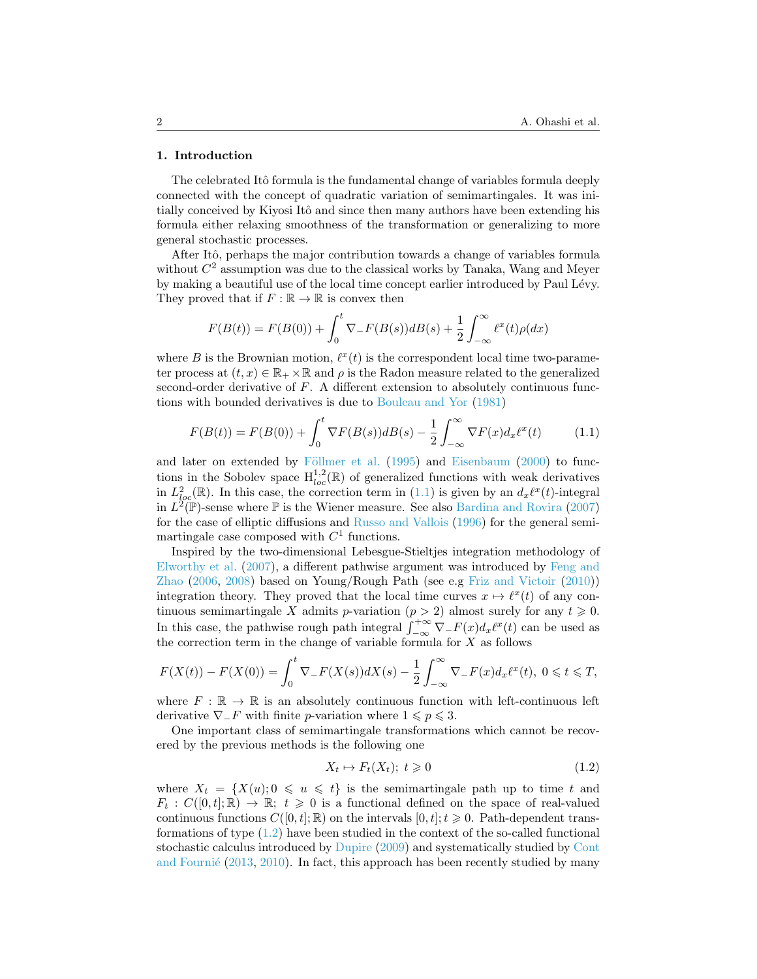#### 1. Introduction

The celebrated Itô formula is the fundamental change of variables formula deeply connected with the concept of quadratic variation of semimartingales. It was initially conceived by Kiyosi Itô and since then many authors have been extending his formula either relaxing smoothness of the transformation or generalizing to more general stochastic processes.

After Itô, perhaps the major contribution towards a change of variables formula without  $C<sup>2</sup>$  assumption was due to the classical works by Tanaka, Wang and Meyer by making a beautiful use of the local time concept earlier introduced by Paul Lévy. They proved that if  $F : \mathbb{R} \to \mathbb{R}$  is convex then

$$
F(B(t)) = F(B(0)) + \int_0^t \nabla_{-} F(B(s)) dB(s) + \frac{1}{2} \int_{-\infty}^{\infty} \ell^x(t) \rho(dx)
$$

where B is the Brownian motion,  $\ell^x(t)$  is the correspondent local time two-parameter process at  $(t, x) \in \mathbb{R}_+ \times \mathbb{R}$  and  $\rho$  is the Radon measure related to the generalized second-order derivative of  $F$ . A different extension to absolutely continuous functions with bounded derivatives is due to [Bouleau and Yor](#page-28-1) [\(1981\)](#page-28-1)

<span id="page-1-0"></span>
$$
F(B(t)) = F(B(0)) + \int_0^t \nabla F(B(s))dB(s) - \frac{1}{2} \int_{-\infty}^{\infty} \nabla F(x) d_x \ell^x(t) \tag{1.1}
$$

and later on extended by Föllmer et al.  $(1995)$  and [Eisenbaum](#page-29-4)  $(2000)$  to functions in the Sobolev space  $H_{loc}^{1,2}(\mathbb{R})$  of generalized functions with weak derivatives in  $L^2_{loc}(\mathbb{R})$ . In this case, the correction term in [\(1.1\)](#page-1-0) is given by an  $d_x\ell^x(t)$ -integral in  $L^2(\mathbb{P})$ -sense where  $\mathbb P$  is the Wiener measure. See also [Bardina and Rovira](#page-28-2) [\(2007\)](#page-28-2) for the case of elliptic diffusions and [Russo and Vallois](#page-29-5) [\(1996\)](#page-29-5) for the general semimartingale case composed with  $C<sup>1</sup>$  functions.

Inspired by the two-dimensional Lebesgue-Stieltjes integration methodology of [Elworthy et al.](#page-29-2) [\(2007\)](#page-29-2), a different pathwise argument was introduced by [Feng and](#page-29-1) [Zhao](#page-29-1) [\(2006,](#page-29-1) [2008\)](#page-29-6) based on Young/Rough Path (see e.g [Friz and Victoir](#page-29-7) [\(2010\)](#page-29-7)) integration theory. They proved that the local time curves  $x \mapsto \ell^x(t)$  of any continuous semimartingale X admits p-variation  $(p > 2)$  almost surely for any  $t \ge 0$ . In this case, the pathwise rough path integral  $\int_{-\infty}^{+\infty} \nabla_{-} F(x) dx^{\ell^{x}}(t)$  can be used as the correction term in the change of variable formula for  $X$  as follows

$$
F(X(t)) - F(X(0)) = \int_0^t \nabla_- F(X(s)) dX(s) - \frac{1}{2} \int_{-\infty}^{\infty} \nabla_- F(x) d_x \ell^x(t), \ 0 \le t \le T,
$$

where  $F : \mathbb{R} \to \mathbb{R}$  is an absolutely continuous function with left-continuous left derivative  $\nabla$ <sub>−</sub>F with finite *p*-variation where  $1 \leq p \leq 3$ .

One important class of semimartingale transformations which cannot be recovered by the previous methods is the following one

<span id="page-1-1"></span>
$$
X_t \mapsto F_t(X_t); \ t \geq 0 \tag{1.2}
$$

where  $X_t = \{X(u); 0 \leq u \leq t\}$  is the semimartingale path up to time t and  $F_t: C([0,t]; \mathbb{R}) \to \mathbb{R}; t \geq 0$  is a functional defined on the space of real-valued continuous functions  $C([0, t]; \mathbb{R})$  on the intervals  $[0, t]; t \geq 0$ . Path-dependent transformations of type [\(1.2\)](#page-1-1) have been studied in the context of the so-called functional stochastic calculus introduced by [Dupire](#page-29-8) [\(2009\)](#page-29-8) and systematically studied by [Cont](#page-28-0) and Fournié  $(2013, 2010)$  $(2013, 2010)$  $(2013, 2010)$ . In fact, this approach has been recently studied by many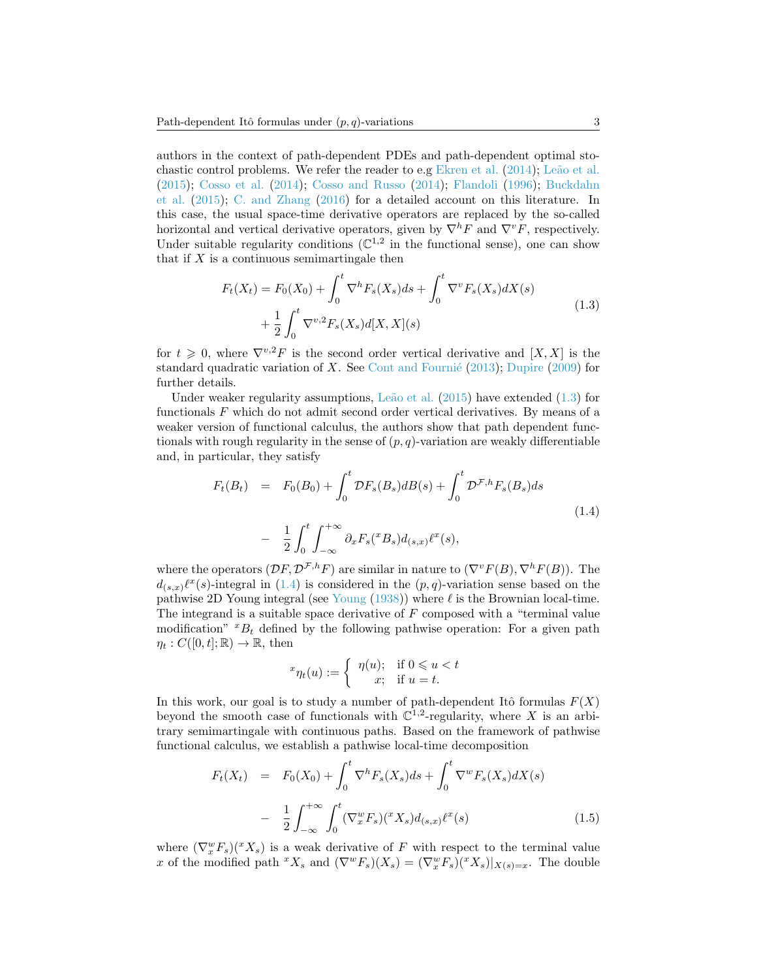authors in the context of path-dependent PDEs and path-dependent optimal sto-chastic control problems. We refer the reader to e.g [Ekren et al.](#page-29-9)  $(2014)$ ; Leão et al. [\(2015\)](#page-29-10); [Cosso et al.](#page-29-11) [\(2014\)](#page-29-11); [Cosso and Russo](#page-29-12) [\(2014\)](#page-29-12); [Flandoli](#page-29-13) [\(1996\)](#page-29-13); [Buckdahn](#page-28-4) [et al.](#page-28-4) [\(2015\)](#page-28-4); [C. and Zhang](#page-28-5) [\(2016\)](#page-28-5) for a detailed account on this literature. In this case, the usual space-time derivative operators are replaced by the so-called horizontal and vertical derivative operators, given by  $\nabla^h F$  and  $\nabla^v F$ , respectively. Under suitable regularity conditions  $(\mathbb{C}^{1,2})$  in the functional sense), one can show that if  $X$  is a continuous semimartingale then

$$
F_t(X_t) = F_0(X_0) + \int_0^t \nabla^h F_s(X_s) ds + \int_0^t \nabla^v F_s(X_s) dX(s)
$$
  
+  $\frac{1}{2} \int_0^t \nabla^{v,2} F_s(X_s) d[X,X](s)$  (1.3)

<span id="page-2-0"></span>for  $t \geq 0$ , where  $\nabla^{v,2}F$  is the second order vertical derivative and  $[X,X]$  is the standard quadratic variation of  $X$ . See Cont and Fournié [\(2013\)](#page-28-0); [Dupire](#page-29-8) [\(2009\)](#page-29-8) for further details.

Under weaker regularity assumptions, Leão et al.  $(2015)$  have extended  $(1.3)$  for functionals F which do not admit second order vertical derivatives. By means of a weaker version of functional calculus, the authors show that path dependent functionals with rough regularity in the sense of  $(p, q)$ -variation are weakly differentiable and, in particular, they satisfy

<span id="page-2-1"></span>
$$
F_t(B_t) = F_0(B_0) + \int_0^t \mathcal{D}F_s(B_s)dB(s) + \int_0^t \mathcal{D}^{\mathcal{F},h}F_s(B_s)ds
$$
  

$$
- \frac{1}{2} \int_0^t \int_{-\infty}^{+\infty} \partial_x F_s({}^x B_s) d_{(s,x)} \ell^x(s), \qquad (1.4)
$$

where the operators  $(\mathcal{D}F, \mathcal{D}^{F,h}F)$  are similar in nature to  $(\nabla^v F(B), \nabla^h F(B))$ . The  $d_{(s,x)}\ell^x(s)$ -integral in [\(1.4\)](#page-2-1) is considered in the  $(p, q)$ -variation sense based on the pathwise 2D [Young](#page-30-0) integral (see Young  $(1938)$ ) where  $\ell$  is the Brownian local-time. The integrand is a suitable space derivative of F composed with a "terminal value modification"  $E_t$  defined by the following pathwise operation: For a given path  $\eta_t: C([0,t];\mathbb{R}) \to \mathbb{R}$ , then

$$
{}^{x}\eta_t(u) := \begin{cases} \eta(u); & \text{if } 0 \le u < t \\ x; & \text{if } u = t. \end{cases}
$$

In this work, our goal is to study a number of path-dependent Itô formulas  $F(X)$ beyond the smooth case of functionals with  $\mathbb{C}^{1,2}$ -regularity, where X is an arbitrary semimartingale with continuous paths. Based on the framework of pathwise functional calculus, we establish a pathwise local-time decomposition

<span id="page-2-2"></span>
$$
F_t(X_t) = F_0(X_0) + \int_0^t \nabla^h F_s(X_s) ds + \int_0^t \nabla^w F_s(X_s) dX(s)
$$
  

$$
- \frac{1}{2} \int_{-\infty}^{+\infty} \int_0^t (\nabla_x^w F_s)(^x X_s) d_{(s,x)} \ell^x(s)
$$
(1.5)

where  $(\nabla_x^w F_s)(^x X_s)$  is a weak derivative of F with respect to the terminal value x of the modified path  ${}^xX_s$  and  $(\nabla^w F_s)(X_s) = (\nabla^w_x F_s)({}^xX_s)|_{X(s)=x}$ . The double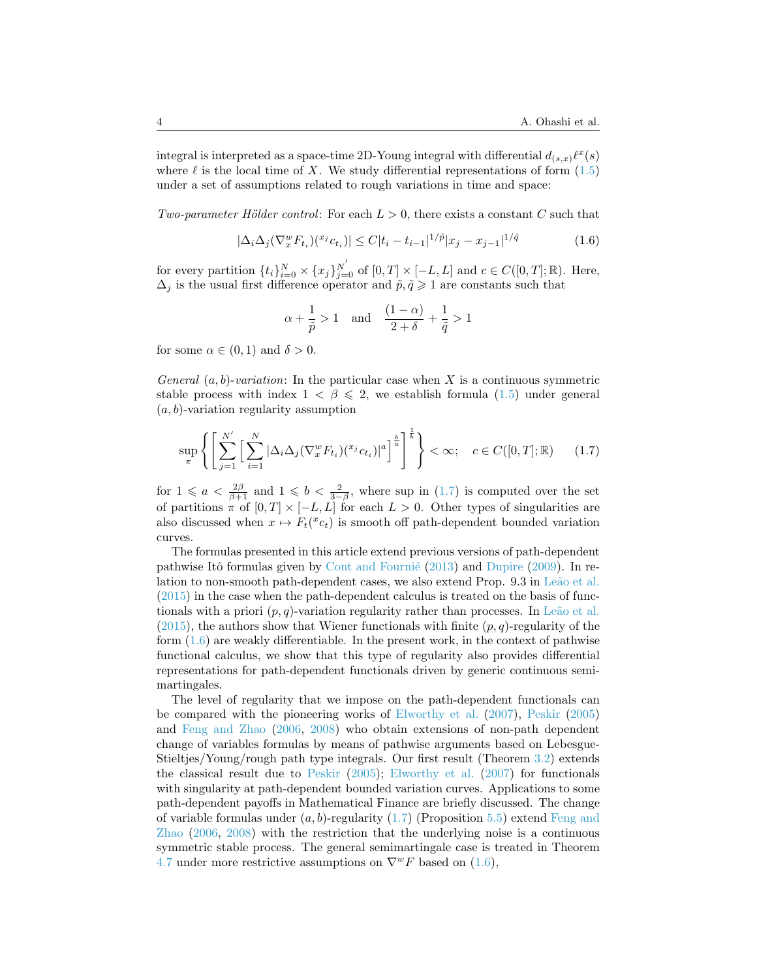integral is interpreted as a space-time 2D-Young integral with differential  $d_{(s,x)}\ell^x(s)$ where  $\ell$  is the local time of X. We study differential representations of form  $(1.5)$ under a set of assumptions related to rough variations in time and space:

Two-parameter Hölder control: For each  $L > 0$ , there exists a constant C such that

<span id="page-3-1"></span>
$$
|\Delta_i \Delta_j (\nabla_x^w F_{t_i})(x^i c_{t_i})| \le C |t_i - t_{i-1}|^{1/\tilde{p}} |x_j - x_{j-1}|^{1/\tilde{q}} \tag{1.6}
$$

for every partition  $\{t_i\}_{i=0}^N \times \{x_j\}_{j=0}^{N'}$  of  $[0,T] \times [-L,L]$  and  $c \in C([0,T];\mathbb{R})$ . Here,  $\Delta_j$  is the usual first difference operator and  $\tilde{p}, \tilde{q} \geq 1$  are constants such that

$$
\alpha + \frac{1}{\tilde{p}} > 1 \quad \text{and} \quad \frac{(1-\alpha)}{2+\delta} + \frac{1}{\tilde{q}} > 1
$$

for some  $\alpha \in (0,1)$  and  $\delta > 0$ .

General  $(a, b)$ -variation: In the particular case when X is a continuous symmetric stable process with index  $1 < \beta \leq 2$ , we establish formula [\(1.5\)](#page-2-2) under general  $(a, b)$ -variation regularity assumption

<span id="page-3-0"></span>
$$
\sup_{\pi} \left\{ \left[ \sum_{j=1}^{N'} \left[ \sum_{i=1}^{N} |\Delta_i \Delta_j (\nabla_x^w F_{t_i}) (x_i)^a \right]^{\frac{b}{a}} \right]^{\frac{b}{b}} \right\} < \infty; \quad c \in C([0, T]; \mathbb{R}) \tag{1.7}
$$

for  $1 \leq a < \frac{2\beta}{\beta+1}$  and  $1 \leq b < \frac{2}{3-\beta}$ , where sup in  $(1.7)$  is computed over the set of partitions  $\pi$  of  $[0, T] \times [-L, L]$  for each  $L > 0$ . Other types of singularities are also discussed when  $x \mapsto F_t({}^x c_t)$  is smooth off path-dependent bounded variation curves.

The formulas presented in this article extend previous versions of path-dependent pathwise Itô formulas given by Cont and Fournié  $(2013)$  and [Dupire](#page-29-8) [\(2009\)](#page-29-8). In relation to non-smooth path-dependent cases, we also extend Prop. 9.3 in Leão et al. [\(2015\)](#page-29-10) in the case when the path-dependent calculus is treated on the basis of functionals with a priori  $(p, q)$ -variation regularity rather than processes. In Leão et al.  $(2015)$ , the authors show that Wiener functionals with finite  $(p, q)$ -regularity of the form  $(1.6)$  are weakly differentiable. In the present work, in the context of pathwise functional calculus, we show that this type of regularity also provides differential representations for path-dependent functionals driven by generic continuous semimartingales.

The level of regularity that we impose on the path-dependent functionals can be compared with the pioneering works of [Elworthy et al.](#page-29-2) [\(2007\)](#page-29-2), [Peskir](#page-29-0) [\(2005\)](#page-29-0) and [Feng and Zhao](#page-29-1) [\(2006,](#page-29-1) [2008\)](#page-29-6) who obtain extensions of non-path dependent change of variables formulas by means of pathwise arguments based on Lebesgue-Stieltjes/Young/rough path type integrals. Our first result (Theorem [3.2\)](#page-11-0) extends the classical result due to [Peskir](#page-29-0) [\(2005\)](#page-29-0); [Elworthy et al.](#page-29-2) [\(2007\)](#page-29-2) for functionals with singularity at path-dependent bounded variation curves. Applications to some path-dependent payoffs in Mathematical Finance are briefly discussed. The change of variable formulas under  $(a, b)$ -regularity  $(1.7)$  (Proposition [5.5\)](#page-24-0) extend [Feng and](#page-29-1) [Zhao](#page-29-1) [\(2006,](#page-29-1) [2008\)](#page-29-6) with the restriction that the underlying noise is a continuous symmetric stable process. The general semimartingale case is treated in Theorem [4.7](#page-18-0) under more restrictive assumptions on  $\nabla^w F$  based on [\(1.6\)](#page-3-1),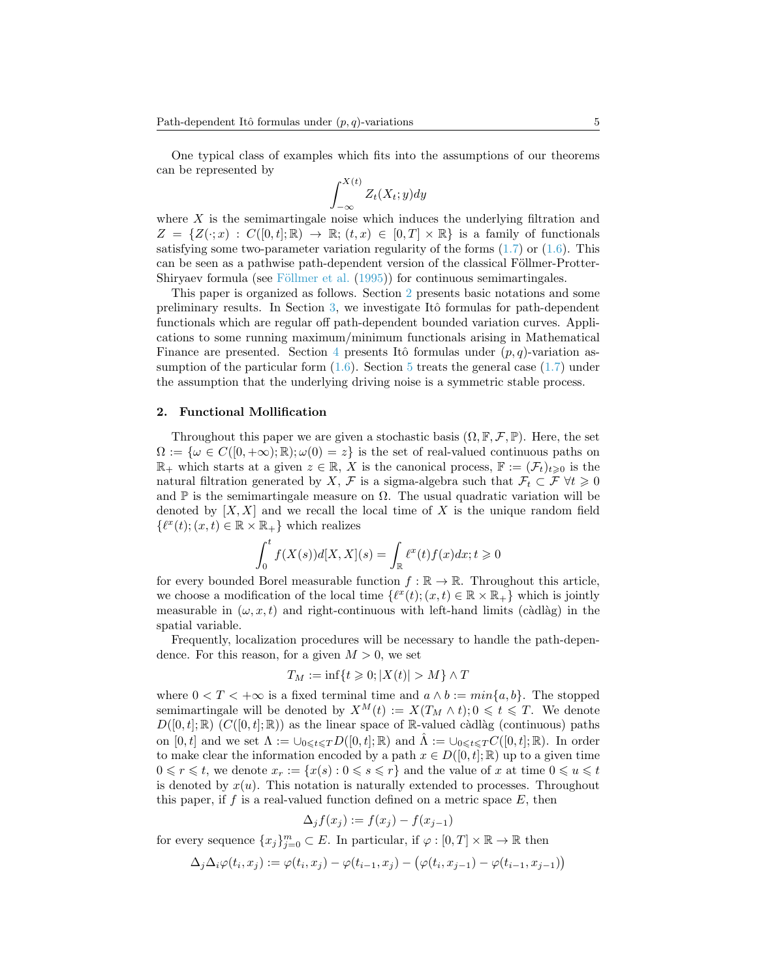One typical class of examples which fits into the assumptions of our theorems can be represented by

$$
\int_{-\infty}^{X(t)} Z_t(X_t; y) dy
$$

where  $X$  is the semimartingale noise which induces the underlying filtration and  $Z = \{Z(\cdot; x) : C([0,t]; \mathbb{R}) \to \mathbb{R}; (t, x) \in [0,T] \times \mathbb{R} \}$  is a family of functionals satisfying some two-parameter variation regularity of the forms  $(1.7)$  or  $(1.6)$ . This can be seen as a pathwise path-dependent version of the classical Föllmer-Protter-Shiryaev formula (see Föllmer et al.  $(1995)$ ) for continuous semimartingales.

This paper is organized as follows. Section [2](#page-4-0) presents basic notations and some preliminary results. In Section  $3$ , we investigate Itô formulas for path-dependent functionals which are regular off path-dependent bounded variation curves. Applications to some running maximum/minimum functionals arising in Mathematical Finance are presented. Section [4](#page-15-0) presents Itô formulas under  $(p, q)$ -variation assumption of the particular form  $(1.6)$ . Section [5](#page-21-0) treats the general case  $(1.7)$  under the assumption that the underlying driving noise is a symmetric stable process.

#### <span id="page-4-0"></span>2. Functional Mollification

Throughout this paper we are given a stochastic basis  $(\Omega, \mathbb{F}, \mathcal{F}, \mathbb{P})$ . Here, the set  $\Omega := \{\omega \in C([0, +\infty); \mathbb{R}); \omega(0) = z\}$  is the set of real-valued continuous paths on  $\mathbb{R}_+$  which starts at a given  $z \in \mathbb{R}$ , X is the canonical process,  $\mathbb{F} := (\mathcal{F}_t)_{t \geq 0}$  is the natural filtration generated by X, F is a sigma-algebra such that  $\mathcal{F}_t \subset \mathcal{F} \ \forall t \geq 0$ and  $\mathbb P$  is the semimartingale measure on  $\Omega$ . The usual quadratic variation will be denoted by  $[X, X]$  and we recall the local time of X is the unique random field  $\{\ell^x(t); (x, t) \in \mathbb{R} \times \mathbb{R}_+\}$  which realizes

$$
\int_0^t f(X(s))d[X,X](s) = \int_{\mathbb{R}} \ell^x(t)f(x)dx; t \ge 0
$$

for every bounded Borel measurable function  $f : \mathbb{R} \to \mathbb{R}$ . Throughout this article, we choose a modification of the local time  $\{ \ell^x(t); (x, t) \in \mathbb{R} \times \mathbb{R}_+ \}$  which is jointly measurable in  $(\omega, x, t)$  and right-continuous with left-hand limits (càdlàg) in the spatial variable.

Frequently, localization procedures will be necessary to handle the path-dependence. For this reason, for a given  $M > 0$ , we set

$$
T_M := \inf\{t \geq 0; |X(t)| > M\} \wedge T
$$

where  $0 < T < +\infty$  is a fixed terminal time and  $a \wedge b := min\{a, b\}$ . The stopped semimartingale will be denoted by  $X^M(t) := X(T_M \wedge t); 0 \leq t \leq T$ . We denote  $D([0, t]; \mathbb{R})$   $(C([0, t]; \mathbb{R}))$  as the linear space of R-valued càdlàg (continuous) paths on  $[0, t]$  and we set  $\Lambda := \bigcup_{0 \leq t \leq T} D([0, t]; \mathbb{R})$  and  $\Lambda := \bigcup_{0 \leq t \leq T} C([0, t]; \mathbb{R})$ . In order to make clear the information encoded by a path  $x \in D([0, t]; \mathbb{R})$  up to a given time  $0 \leq r \leq t$ , we denote  $x_r := \{x(s): 0 \leq s \leq r\}$  and the value of x at time  $0 \leq u \leq t$ is denoted by  $x(u)$ . This notation is naturally extended to processes. Throughout this paper, if f is a real-valued function defined on a metric space  $E$ , then

$$
\Delta_j f(x_j) := f(x_j) - f(x_{j-1})
$$

for every sequence  $\{x_j\}_{j=0}^m \subset E$ . In particular, if  $\varphi : [0, T] \times \mathbb{R} \to \mathbb{R}$  then

$$
\Delta_j \Delta_i \varphi(t_i, x_j) := \varphi(t_i, x_j) - \varphi(t_{i-1}, x_j) - (\varphi(t_i, x_{j-1}) - \varphi(t_{i-1}, x_{j-1}))
$$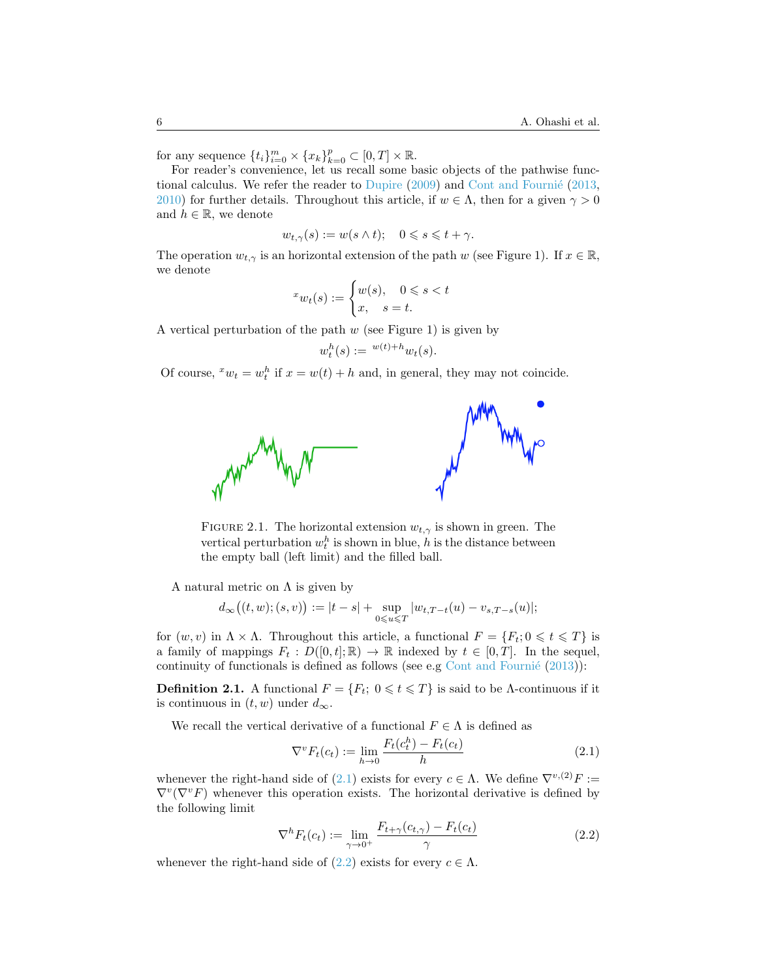for any sequence  $\{t_i\}_{i=0}^m \times \{x_k\}_{k=0}^p \subset [0,T] \times \mathbb{R}$ .

For reader's convenience, let us recall some basic objects of the pathwise func-tional calculus. We refer the reader to [Dupire](#page-29-8)  $(2009)$  and Cont and Fournié  $(2013, 100)$  $(2013, 100)$ [2010\)](#page-28-3) for further details. Throughout this article, if  $w \in \Lambda$ , then for a given  $\gamma > 0$ and  $h \in \mathbb{R}$ , we denote

$$
w_{t,\gamma}(s) := w(s \wedge t); \quad 0 \leqslant s \leqslant t + \gamma.
$$

The operation  $w_{t,\gamma}$  is an horizontal extension of the path w (see Figure 1). If  $x \in \mathbb{R}$ , we denote

$$
^{x}w_{t}(s):=\begin{cases} w(s), & 0\leqslant s
$$

A vertical perturbation of the path  $w$  (see Figure 1) is given by

$$
w_t^h(s) := {}^{w(t)+h}w_t(s).
$$

Of course,  $^x w_t = w_t^h$  if  $x = w(t) + h$  and, in general, they may not coincide.



FIGURE 2.1. The horizontal extension  $w_{t,\gamma}$  is shown in green. The vertical perturbation  $w_t^h$  is shown in blue, h is the distance between the empty ball (left limit) and the filled ball.

A natural metric on  $\Lambda$  is given by

$$
d_\infty\big((t,w);(s,v)\big):=|t-s|+\sup_{0\leqslant u\leqslant T}|w_{t,T-t}(u)-v_{s,T-s}(u)|;
$$

for  $(w, v)$  in  $\Lambda \times \Lambda$ . Throughout this article, a functional  $F = \{F_t; 0 \leq t \leq T\}$  is a family of mappings  $F_t : D([0, t]; \mathbb{R}) \to \mathbb{R}$  indexed by  $t \in [0, T]$ . In the sequel, continuity of functionals is defined as follows (see e.g Cont and Fournié  $(2013)$ ):

**Definition 2.1.** A functional  $F = \{F_t; 0 \leq t \leq T\}$  is said to be Λ-continuous if it is continuous in  $(t, w)$  under  $d_{\infty}$ .

We recall the vertical derivative of a functional  $F \in \Lambda$  is defined as

<span id="page-5-0"></span>
$$
\nabla^v F_t(c_t) := \lim_{h \to 0} \frac{F_t(c_t^h) - F_t(c_t)}{h}
$$
\n(2.1)

whenever the right-hand side of [\(2.1\)](#page-5-0) exists for every  $c \in \Lambda$ . We define  $\nabla^{v,(2)}F :=$  $\nabla^v(\nabla^v F)$  whenever this operation exists. The horizontal derivative is defined by the following limit

<span id="page-5-1"></span>
$$
\nabla^h F_t(c_t) := \lim_{\gamma \to 0^+} \frac{F_{t+\gamma}(c_{t,\gamma}) - F_t(c_t)}{\gamma}
$$
\n(2.2)

whenever the right-hand side of  $(2.2)$  exists for every  $c \in \Lambda$ .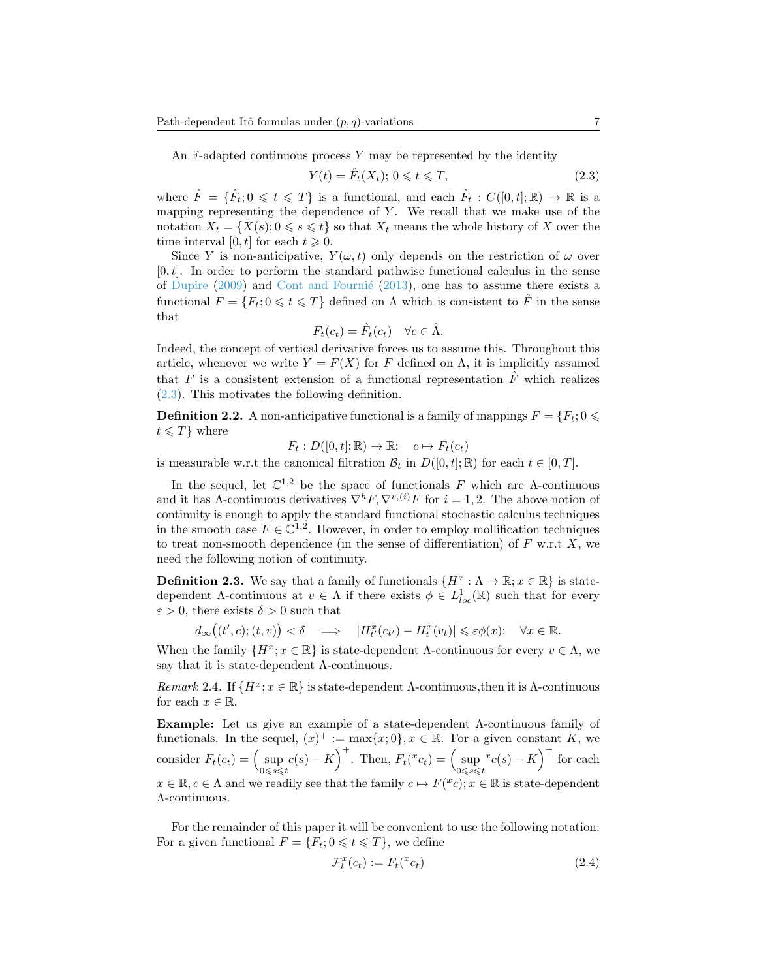An  $\mathbb{F}\text{-}adapted$  continuous process Y may be represented by the identity

<span id="page-6-0"></span>
$$
Y(t) = \hat{F}_t(X_t); \ 0 \leq t \leq T,\tag{2.3}
$$

where  $\hat{F} = \{\hat{F}_t; 0 \leq t \leq T\}$  is a functional, and each  $\hat{F}_t : C([0,t]; \mathbb{R}) \to \mathbb{R}$  is a mapping representing the dependence of  $Y$ . We recall that we make use of the notation  $X_t = \{X(s); 0 \le s \le t\}$  so that  $X_t$  means the whole history of X over the time interval [0, t] for each  $t \geq 0$ .

Since Y is non-anticipative,  $Y(\omega, t)$  only depends on the restriction of  $\omega$  over  $[0, t]$ . In order to perform the standard pathwise functional calculus in the sense of [Dupire](#page-29-8)  $(2009)$  and Cont and Fournié  $(2013)$ , one has to assume there exists a functional  $F = \{F_t: 0 \leq t \leq T\}$  defined on  $\Lambda$  which is consistent to  $\hat{F}$  in the sense that

$$
F_t(c_t) = \hat{F}_t(c_t) \quad \forall c \in \hat{\Lambda}.
$$

Indeed, the concept of vertical derivative forces us to assume this. Throughout this article, whenever we write  $Y = F(X)$  for F defined on  $\Lambda$ , it is implicitly assumed that F is a consistent extension of a functional representation  $\hat{F}$  which realizes [\(2.3\)](#page-6-0). This motivates the following definition.

**Definition 2.2.** A non-anticipative functional is a family of mappings  $F = \{F_t; 0 \leq \theta\}$  $t \leqslant T$  where

 $F_t : D([0, t]; \mathbb{R}) \to \mathbb{R}; \quad c \mapsto F_t(c_t)$ 

is measurable w.r.t the canonical filtration  $\mathcal{B}_t$  in  $D([0, t]; \mathbb{R})$  for each  $t \in [0, T]$ .

In the sequel, let  $\mathbb{C}^{1,2}$  be the space of functionals F which are  $\Lambda$ -continuous and it has  $\Lambda$ -continuous derivatives  $\nabla^h F$ ,  $\nabla^{v,(i)} F$  for  $i = 1, 2$ . The above notion of continuity is enough to apply the standard functional stochastic calculus techniques in the smooth case  $F \in \mathbb{C}^{1,2}$ . However, in order to employ mollification techniques to treat non-smooth dependence (in the sense of differentiation) of  $F$  w.r.t  $X$ , we need the following notion of continuity.

**Definition 2.3.** We say that a family of functionals  $\{H^x : \Lambda \to \mathbb{R} : x \in \mathbb{R}\}$  is statedependent Λ-continuous at  $v \in \Lambda$  if there exists  $\phi \in L^1_{loc}(\mathbb{R})$  such that for every  $\varepsilon > 0$ , there exists  $\delta > 0$  such that

$$
d_{\infty}((t',c); (t,v)) < \delta \quad \Longrightarrow \quad |H^x_{t'}(c_{t'}) - H^x_{t}(v_t)| \leq \varepsilon \phi(x); \quad \forall x \in \mathbb{R}.
$$

When the family  $\{H^x; x \in \mathbb{R}\}$  is state-dependent Λ-continuous for every  $v \in \Lambda$ , we say that it is state-dependent Λ-continuous.

Remark 2.4. If  $\{H^x; x \in \mathbb{R}\}\$  is state-dependent Λ-continuous, then it is Λ-continuous for each  $x \in \mathbb{R}$ .

Example: Let us give an example of a state-dependent Λ-continuous family of functionals. In the sequel,  $(x)^+ := \max\{x; 0\}$ ,  $x \in \mathbb{R}$ . For a given constant K, we consider  $F_t(c_t) = \left(\sup_{0 \le s \le t} c(s) - K\right)^+$ . Then,  $F_t({}^x c_t) = \left(\sup_{0 \le s \le t} c_s\right)$  $x_{c(s) - K}$ <sup>+</sup> for each  $x \in \mathbb{R}, c \in \Lambda$  and we readily see that the family  $c \mapsto F({}^x c); x \in \mathbb{R}$  is state-dependent Λ-continuous.

For the remainder of this paper it will be convenient to use the following notation: For a given functional  $F = \{F_t; 0 \leq t \leq T\}$ , we define

<span id="page-6-1"></span>
$$
\mathcal{F}_t^x(c_t) := F_t({}^x c_t) \tag{2.4}
$$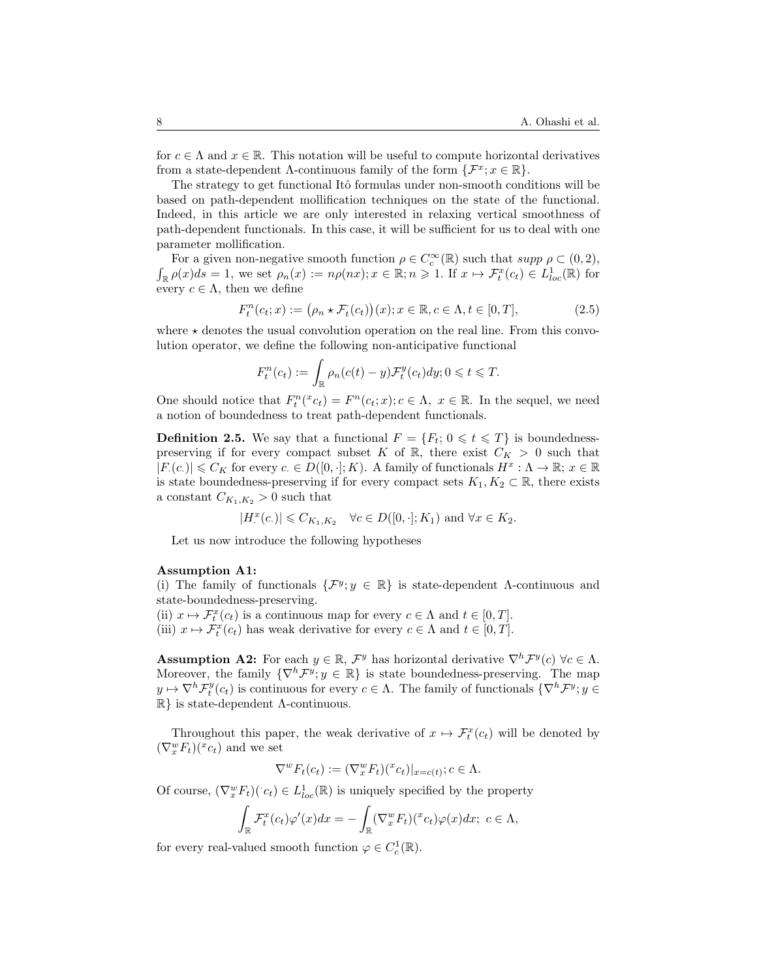for  $c \in \Lambda$  and  $x \in \mathbb{R}$ . This notation will be useful to compute horizontal derivatives from a state-dependent  $\Lambda$ -continuous family of the form  $\{\mathcal{F}^x; x \in \mathbb{R}\}.$ 

The strategy to get functional Itô formulas under non-smooth conditions will be based on path-dependent mollification techniques on the state of the functional. Indeed, in this article we are only interested in relaxing vertical smoothness of path-dependent functionals. In this case, it will be sufficient for us to deal with one parameter mollification.

For a given non-negative smooth function  $\rho \in C_c^{\infty}(\mathbb{R})$  such that  $supp \rho \subset (0,2)$ ,  $\int_{\mathbb{R}} \rho(x) ds = 1$ , we set  $\rho_n(x) := n\rho(nx); x \in \mathbb{R}; n \geqslant 1$ . If  $x \mapsto \mathcal{F}_t^x(c_t) \in L^1_{loc}(\mathbb{R})$  for every  $c \in \Lambda$ , then we define

$$
F_t^n(c_t; x) := (\rho_n \star \mathcal{F}_t(c_t))(x); x \in \mathbb{R}, c \in \Lambda, t \in [0, T],
$$
\n(2.5)

where  $\star$  denotes the usual convolution operation on the real line. From this convolution operator, we define the following non-anticipative functional

<span id="page-7-0"></span>
$$
F_t^n(c_t) := \int_{\mathbb{R}} \rho_n(c(t) - y) \mathcal{F}_t^y(c_t) dy; 0 \leq t \leq T.
$$

One should notice that  $F_t^n(x_{c_t}) = F^n(c_t; x); c \in \Lambda, x \in \mathbb{R}$ . In the sequel, we need a notion of boundedness to treat path-dependent functionals.

**Definition 2.5.** We say that a functional  $F = \{F_t; 0 \leq t \leq T\}$  is boundednesspreserving if for every compact subset K of R, there exist  $C_K > 0$  such that  $|F(c)| \leqslant C_K$  for every  $c \in D([0, \cdot]; K)$ . A family of functionals  $H^x : \Lambda \to \mathbb{R}; x \in \mathbb{R}$ is state boundedness-preserving if for every compact sets  $K_1, K_2 \subset \mathbb{R}$ , there exists a constant  $C_{K_1,K_2} > 0$  such that

$$
|H^x(\mathbf{c})| \leqslant C_{K_1, K_2} \quad \forall \mathbf{c} \in D([0, \cdot]; K_1) \text{ and } \forall x \in K_2.
$$

Let us now introduce the following hypotheses

## Assumption A1:

(i) The family of functionals  $\{\mathcal{F}^y, y \in \mathbb{R}\}\$  is state-dependent  $\Lambda$ -continuous and state-boundedness-preserving.

(ii)  $x \mapsto \mathcal{F}_t^x(c_t)$  is a continuous map for every  $c \in \Lambda$  and  $t \in [0, T]$ . (iii)  $x \mapsto \mathcal{F}_t^x(c_t)$  has weak derivative for every  $c \in \Lambda$  and  $t \in [0, T]$ .

**Assumption A2:** For each  $y \in \mathbb{R}$ ,  $\mathcal{F}^y$  has horizontal derivative  $\nabla^h \mathcal{F}^y(c)$   $\forall c \in \Lambda$ . Moreover, the family  $\{\nabla^h \mathcal{F}^y, y \in \mathbb{R}\}\$ is state boundedness-preserving. The map  $y \mapsto \nabla^h \mathcal{F}^y_t(c_t)$  is continuous for every  $c \in \Lambda$ . The family of functionals  $\{\nabla^h \mathcal{F}^y; y \in$  $\mathbb{R}$  is state-dependent Λ-continuous.

Throughout this paper, the weak derivative of  $x \mapsto \mathcal{F}_t^x(c_t)$  will be denoted by  $(\nabla_x^w F_t)(^x c_t)$  and we set

$$
\nabla^w F_t(c_t) := (\nabla_x^w F_t)(x_c)|_{x=c(t)}; c \in \Lambda.
$$

Of course,  $(\nabla_x^w F_t)(c_t) \in L^1_{loc}(\mathbb{R})$  is uniquely specified by the property

$$
\int_{\mathbb{R}} \mathcal{F}_t^x(c_t) \varphi'(x) dx = - \int_{\mathbb{R}} (\nabla_x^w F_t)^{x_c} c_t \varphi(x) dx; \ c \in \Lambda,
$$

for every real-valued smooth function  $\varphi \in C_c^1(\mathbb{R})$ .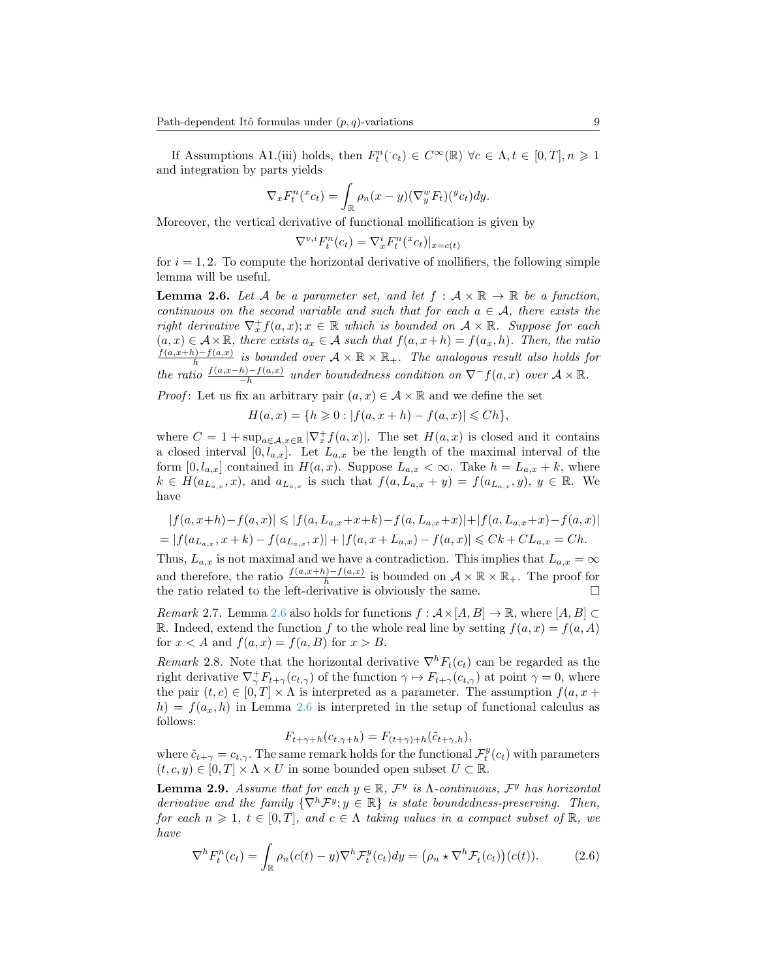If Assumptions A1.(iii) holds, then  $F_t^n(c_t) \in C^\infty(\mathbb{R}) \ \forall c \in \Lambda, t \in [0, T], n \geq 1$ and integration by parts yields

$$
\nabla_x F_t^n(x_{ct}) = \int_{\mathbb{R}} \rho_n(x - y) (\nabla_y^w F_t)(^y v_t) dy.
$$

Moreover, the vertical derivative of functional mollification is given by

$$
\nabla^{v,i} F^n_t(c_t) = \nabla_x^i F^n_t({}^x c_t)|_{x=c(t)}
$$

for  $i = 1, 2$ . To compute the horizontal derivative of mollifiers, the following simple lemma will be useful.

<span id="page-8-0"></span>**Lemma 2.6.** Let A be a parameter set, and let  $f : \mathcal{A} \times \mathbb{R} \to \mathbb{R}$  be a function, continuous on the second variable and such that for each  $a \in \mathcal{A}$ , there exists the right derivative  $\nabla_x^+ f(a,x); x \in \mathbb{R}$  which is bounded on  $\mathcal{A} \times \mathbb{R}$ . Suppose for each  $(a, x) \in \mathcal{A} \times \mathbb{R}$ , there exists  $a_x \in \mathcal{A}$  such that  $f(a, x+h) = f(a_x, h)$ . Then, the ratio  $\frac{f(a,x+h)-f(a,x)}{h}$  is bounded over  $\mathcal{A}\times\mathbb{R}\times\mathbb{R}_+$ . The analogous result also holds for the ratio  $\frac{f(a,x-h)-f(a,x)}{-h}$  under boundedness condition on  $\nabla^- f(a,x)$  over  $\mathcal{A} \times \mathbb{R}$ .

*Proof*: Let us fix an arbitrary pair  $(a, x) \in \mathcal{A} \times \mathbb{R}$  and we define the set

$$
H(a,x) = \{ h \ge 0 : |f(a, x + h) - f(a, x)| \le Ch \},
$$

where  $C = 1 + \sup_{a \in \mathcal{A}, x \in \mathbb{R}} |\nabla_x^+ f(a, x)|$ . The set  $H(a, x)$  is closed and it contains a closed interval  $[0, l_{a,x}]$ . Let  $L_{a,x}$  be the length of the maximal interval of the form  $[0, l_{a,x}]$  contained in  $H(a, x)$ . Suppose  $L_{a,x} < \infty$ . Take  $h = L_{a,x} + k$ , where  $k \in H(a_{L_{a,x}},x)$ , and  $a_{L_{a,x}}$  is such that  $f(a, L_{a,x} + y) = f(a_{L_{a,x}},y)$ ,  $y \in \mathbb{R}$ . We have

$$
|f(a, x+h) - f(a, x)| \le |f(a, L_{a,x} + x + k) - f(a, L_{a,x} + x)| + |f(a, L_{a,x} + x) - f(a, x)|
$$
  
= |f(a<sub>L<sub>a,x</sub></sub>, x + k) - f(a<sub>L<sub>a,x</sub></sub>, x)| + |f(a, x + L\_{a,x}) - f(a, x)| \le Ck + CL\_{a,x} = Ch.

Thus,  $L_{a,x}$  is not maximal and we have a contradiction. This implies that  $L_{a,x} = \infty$ and therefore, the ratio  $\frac{f(a,x+h)-f(a,x)}{h}$  is bounded on  $\mathcal{A} \times \mathbb{R} \times \mathbb{R}_+$ . The proof for the ratio related to the left-derivative is obviously the same.  $\square$ 

<span id="page-8-4"></span>*Remark* 2.7. Lemma [2.6](#page-8-0) also holds for functions  $f : \mathcal{A} \times [A, B] \to \mathbb{R}$ , where  $[A, B] \subset$ R. Indeed, extend the function f to the whole real line by setting  $f(a, x) = f(a, A)$ for  $x < A$  and  $f(a, x) = f(a, B)$  for  $x > B$ .

<span id="page-8-1"></span>Remark 2.8. Note that the horizontal derivative  $\nabla^h F_t(c_t)$  can be regarded as the right derivative  $\nabla^+_\gamma F_{t+\gamma}(c_{t,\gamma})$  of the function  $\gamma \mapsto F_{t+\gamma}(c_{t,\gamma})$  at point  $\gamma = 0$ , where the pair  $(t, c) \in [0, T] \times \Lambda$  is interpreted as a parameter. The assumption  $f(a, x +$  $h = f(a_x, h)$  in Lemma [2.6](#page-8-0) is interpreted in the setup of functional calculus as follows:

$$
F_{t+\gamma+h}(c_{t,\gamma+h}) = F_{(t+\gamma)+h}(\tilde{c}_{t+\gamma,h}),
$$

where  $\tilde{c}_{t+\gamma} = c_{t,\gamma}$ . The same remark holds for the functional  $\mathcal{F}_t^y(c_t)$  with parameters  $(t, c, y) \in [0, T] \times \Lambda \times U$  in some bounded open subset  $U \subset \mathbb{R}$ .

<span id="page-8-3"></span>**Lemma 2.9.** Assume that for each  $y \in \mathbb{R}$ ,  $\mathcal{F}^y$  is  $\Lambda$ -continuous,  $\mathcal{F}^y$  has horizontal derivative and the family  $\{\nabla^h \mathcal{F}^y; y \in \mathbb{R}\}$  is state boundedness-preserving. Then, for each  $n \geq 1$ ,  $t \in [0, T]$ , and  $c \in \Lambda$  taking values in a compact subset of  $\mathbb{R}$ , we have

<span id="page-8-2"></span>
$$
\nabla^h F_t^n(c_t) = \int_{\mathbb{R}} \rho_n(c(t) - y) \nabla^h \mathcal{F}_t^y(c_t) dy = \left(\rho_n \star \nabla^h \mathcal{F}_t^i(c_t)\right)(c(t)).\tag{2.6}
$$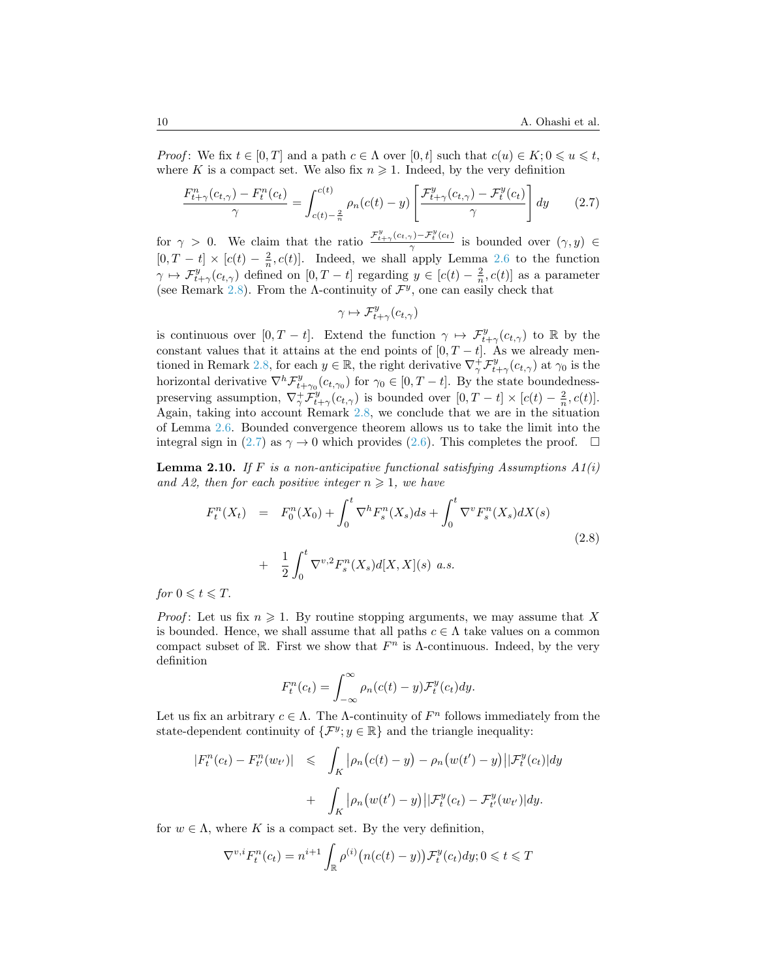*Proof*: We fix  $t \in [0, T]$  and a path  $c \in \Lambda$  over  $[0, t]$  such that  $c(u) \in K$ ;  $0 \leq u \leq t$ , where K is a compact set. We also fix  $n \geq 1$ . Indeed, by the very definition

$$
\frac{F_{t+\gamma}^n(c_{t,\gamma}) - F_t^n(c_t)}{\gamma} = \int_{c(t)-\frac{2}{n}}^{c(t)} \rho_n(c(t) - y) \left[ \frac{\mathcal{F}_{t+\gamma}^y(c_{t,\gamma}) - \mathcal{F}_t^y(c_t)}{\gamma} \right] dy \qquad (2.7)
$$

for  $\gamma > 0$ . We claim that the ratio  $\frac{\mathcal{F}_{t+\gamma}^{y}(c_{t,\gamma})-\mathcal{F}_{t}^{y}(c_{t})}{\gamma}$  $\frac{\gamma y - \mathcal{F}_t(c_t)}{\gamma}$  is bounded over  $(\gamma, y) \in$  $[0, T - t] \times [c(t) - \frac{2}{n}, c(t)]$ . Indeed, we shall apply Lemma [2.6](#page-8-0) to the function  $\gamma \mapsto \mathcal{F}^y_{t+\gamma}(c_{t,\gamma})$  defined on  $[0,T-t]$  regarding  $y \in [c(t) - \frac{2}{n}, c(t)]$  as a parameter (see Remark [2.8\)](#page-8-1). From the Λ-continuity of  $\mathcal{F}^y$ , one can easily check that

<span id="page-9-0"></span>
$$
\gamma \mapsto \mathcal{F}^y_{t+\gamma}(c_{t,\gamma})
$$

is continuous over  $[0, T - t]$ . Extend the function  $\gamma \mapsto \mathcal{F}^y_{t+\gamma}(c_{t,\gamma})$  to R by the constant values that it attains at the end points of  $[0, T - t]$ . As we already men-tioned in Remark [2.8,](#page-8-1) for each  $y \in \mathbb{R}$ , the right derivative  $\nabla_{\gamma}^{\dagger} \mathcal{F}_{t+\gamma}^{y}(c_{t,\gamma})$  at  $\gamma_0$  is the horizontal derivative  $\nabla^h \mathcal{F}^y_{t+\gamma_0}(c_{t,\gamma_0})$  for  $\gamma_0 \in [0, T-t]$ . By the state boundednesspreserving assumption,  $\nabla^+_\gamma \mathcal{F}^y_{t+\gamma}(c_{t,\gamma})$  is bounded over  $[0, T - t] \times [c(t) - \frac{2}{n}, c(t)]$ . Again, taking into account Remark [2.8,](#page-8-1) we conclude that we are in the situation of Lemma [2.6.](#page-8-0) Bounded convergence theorem allows us to take the limit into the integral sign in [\(2.7\)](#page-9-0) as  $\gamma \to 0$  which provides [\(2.6\)](#page-8-2). This completes the proof.  $\Box$ 

<span id="page-9-1"></span>**Lemma 2.10.** If F is a non-anticipative functional satisfying Assumptions  $A1(i)$ and A2, then for each positive integer  $n \geq 1$ , we have

<span id="page-9-2"></span>
$$
F_t^n(X_t) = F_0^n(X_0) + \int_0^t \nabla^h F_s^n(X_s) ds + \int_0^t \nabla^v F_s^n(X_s) dX(s)
$$
  
+ 
$$
\frac{1}{2} \int_0^t \nabla^{v,2} F_s^n(X_s) d[X,X](s) \ a.s.
$$
 (2.8)

for  $0 \leq t \leq T$ .

*Proof*: Let us fix  $n \geq 1$ . By routine stopping arguments, we may assume that X is bounded. Hence, we shall assume that all paths  $c \in \Lambda$  take values on a common compact subset of R. First we show that  $F^n$  is  $\Lambda$ -continuous. Indeed, by the very definition

$$
F_t^n(c_t) = \int_{-\infty}^{\infty} \rho_n(c(t) - y) \mathcal{F}_t^y(c_t) dy.
$$

Let us fix an arbitrary  $c \in \Lambda$ . The  $\Lambda$ -continuity of  $F<sup>n</sup>$  follows immediately from the state-dependent continuity of  $\{\mathcal{F}^y, y \in \mathbb{R}\}\$  and the triangle inequality:

$$
|F_t^n(c_t) - F_{t'}^n(w_{t'})| \le \int_K |\rho_n(c(t) - y) - \rho_n(w(t') - y)| |\mathcal{F}_t^y(c_t)| dy
$$
  
+ 
$$
\int_K |\rho_n(w(t') - y)| |\mathcal{F}_t^y(c_t) - \mathcal{F}_{t'}^y(w_{t'})| dy.
$$

for  $w \in \Lambda$ , where K is a compact set. By the very definition,

$$
\nabla^{v,i} F_t^n(c_t) = n^{i+1} \int_{\mathbb{R}} \rho^{(i)} \big( n(c(t) - y) \big) \mathcal{F}_t^y(c_t) dy; 0 \leq t \leq T
$$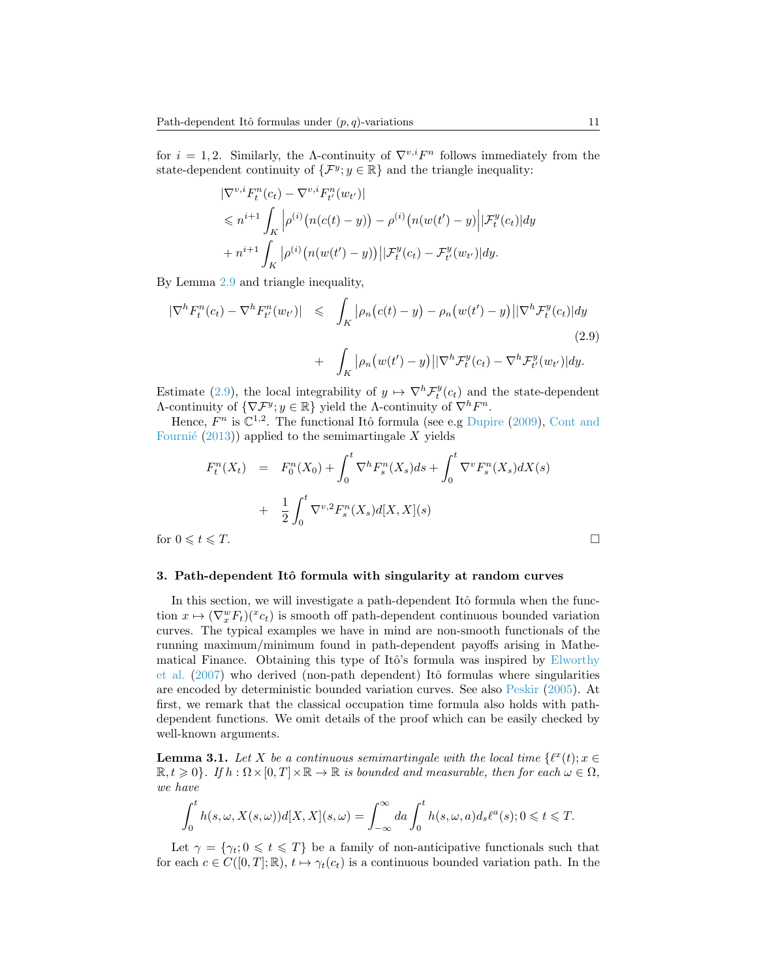for  $i = 1, 2$ . Similarly, the A-continuity of  $\nabla^{v,i} F^n$  follows immediately from the state-dependent continuity of  $\{\mathcal{F}^y, y \in \mathbb{R}\}\$  and the triangle inequality:

$$
\begin{aligned} &|\nabla^{v,i}F_t^n(c_t) - \nabla^{v,i}F_{t'}^n(w_{t'})| \\ &\leqslant n^{i+1} \int_K \left| \rho^{(i)}\big(n(c(t)-y)\big) - \rho^{(i)}\big(n(w(t')-y)\Big| |\mathcal{F}_t^y(c_t)| dy \right. \\ &\left. + n^{i+1} \int_K \left| \rho^{(i)}\big(n(w(t')-y)\big) \right| |\mathcal{F}_t^y(c_t) - \mathcal{F}_{t'}^y(w_{t'})| dy. \end{aligned}
$$

By Lemma [2.9](#page-8-3) and triangle inequality,

<span id="page-10-1"></span>
$$
\begin{aligned} |\nabla^h F^n_t(c_t) - \nabla^h F^n_t(w_{t'})| &\leqslant \int_K |\rho_n\big(c(t) - y\big) - \rho_n\big(w(t') - y\big) \big| |\nabla^h \mathcal{F}^y_t(c_t)| dy \\ &+ \int_K |\rho_n\big(w(t') - y\big) \big| |\nabla^h \mathcal{F}^y_t(c_t) - \nabla^h \mathcal{F}^y_{t'}(w_{t'})| dy. \end{aligned} \tag{2.9}
$$

Estimate [\(2.9\)](#page-10-1), the local integrability of  $y \mapsto \nabla^h \mathcal{F}^y_t(c_t)$  and the state-dependent Λ-continuity of  $\{\nabla \mathcal{F}^y; y \in \mathbb{R}\}\)$  yield the Λ-continuity of  $\nabla^h F^n$ .

Hence,  $F^n$  is  $\mathbb{C}^{1,2}$ . The functional Itô formula (see e.g [Dupire](#page-29-8) [\(2009\)](#page-29-8), [Cont and](#page-28-0) Fournié [\(2013\)](#page-28-0)) applied to the semimartingale X yields

$$
F_t^n(X_t) = F_0^n(X_0) + \int_0^t \nabla^h F_s^n(X_s) ds + \int_0^t \nabla^v F_s^n(X_s) dX(s)
$$
  
+  $\frac{1}{2} \int_0^t \nabla^{v,2} F_s^n(X_s) d[X,X](s)$   
for  $0 \le t \le T$ .

#### <span id="page-10-0"></span>3. Path-dependent Itô formula with singularity at random curves

In this section, we will investigate a path-dependent Itô formula when the function  $x \mapsto (\nabla_x^w F_t)(x \cdot c_t)$  is smooth off path-dependent continuous bounded variation curves. The typical examples we have in mind are non-smooth functionals of the running maximum/minimum found in path-dependent payoffs arising in Mathe-matical Finance. Obtaining this type of Itô's formula was inspired by [Elworthy](#page-29-2) [et al.](#page-29-2) [\(2007\)](#page-29-2) who derived (non-path dependent) Itô formulas where singularities are encoded by deterministic bounded variation curves. See also [Peskir](#page-29-0) [\(2005\)](#page-29-0). At first, we remark that the classical occupation time formula also holds with pathdependent functions. We omit details of the proof which can be easily checked by well-known arguments.

<span id="page-10-2"></span>**Lemma 3.1.** Let X be a continuous semimartingale with the local time  $\{l^x(t); x \in$  $\mathbb{R}, t \geq 0$ . If  $h : \Omega \times [0, T] \times \mathbb{R} \to \mathbb{R}$  is bounded and measurable, then for each  $\omega \in \Omega$ , we have

$$
\int_0^t h(s,\omega,X(s,\omega))d[X,X](s,\omega)=\int_{-\infty}^\infty da \int_0^t h(s,\omega,a)d_s\ell^a(s);0\leq t\leq T.
$$

Let  $\gamma = {\gamma_t; 0 \leq t \leq T}$  be a family of non-anticipative functionals such that for each  $c \in C([0, T]; \mathbb{R})$ ,  $t \mapsto \gamma_t(c_t)$  is a continuous bounded variation path. In the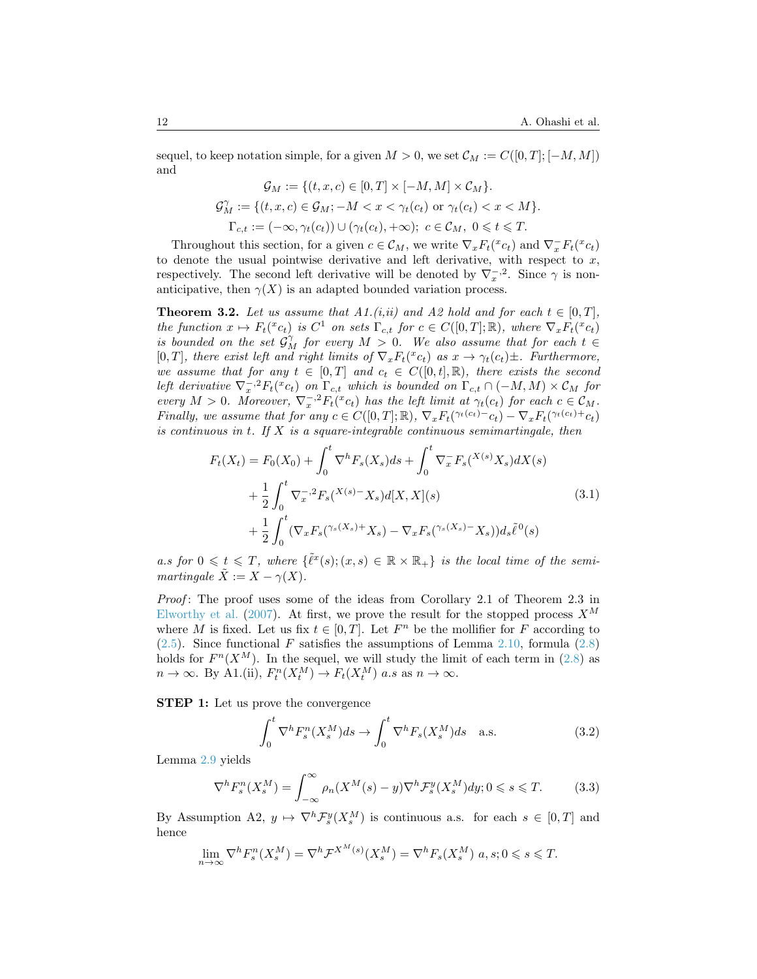sequel, to keep notation simple, for a given  $M > 0$ , we set  $\mathcal{C}_M := C([0, T]; [-M, M])$ and

$$
\mathcal{G}_M := \{ (t, x, c) \in [0, T] \times [-M, M] \times \mathcal{C}_M \}.
$$
  

$$
\mathcal{G}_M^{\gamma} := \{ (t, x, c) \in \mathcal{G}_M; -M < x < \gamma_t(c_t) \text{ or } \gamma_t(c_t) < x < M \}.
$$
  

$$
\Gamma_{c,t} := (-\infty, \gamma_t(c_t)) \cup (\gamma_t(c_t), +\infty); \ c \in \mathcal{C}_M, \ 0 \leq t \leq T.
$$

Throughout this section, for a given  $c \in \mathcal{C}_M$ , we write  $\nabla_x F_t({}^x c_t)$  and  $\nabla_x^- F_t({}^x c_t)$ to denote the usual pointwise derivative and left derivative, with respect to  $x$ , respectively. The second left derivative will be denoted by  $\nabla_x^{-1}$ . Since  $\gamma$  is nonanticipative, then  $\gamma(X)$  is an adapted bounded variation process.

<span id="page-11-0"></span>**Theorem 3.2.** Let us assume that A1.(i,ii) and A2 hold and for each  $t \in [0, T]$ , the function  $x \mapsto F_t({}^x c_t)$  is  $C^1$  on sets  $\Gamma_{c,t}$  for  $c \in C([0,T]; \mathbb{R})$ , where  $\nabla_x F_t({}^x c_t)$ is bounded on the set  $G_M^{\gamma}$  for every  $M > 0$ . We also assume that for each  $t \in$ [0, T], there exist left and right limits of  $\nabla_x F_t({}^x c_t)$  as  $x \to \gamma_t(c_t) \pm$ . Furthermore, we assume that for any  $t \in [0,T]$  and  $c_t \in C([0,t],\mathbb{R})$ , there exists the second left derivative  $\nabla_x^{-,2} F_t({}^x c_t)$  on  $\Gamma_{c,t}$  which is bounded on  $\Gamma_{c,t} \cap (-M,M) \times C_M$  for every  $M > 0$ . Moreover,  $\nabla_x^{-2} F_t({}^x c_t)$  has the left limit at  $\gamma_t(c_t)$  for each  $c \in \mathcal{C}_M$ . Finally, we assume that for any  $c \in C([0,T];\mathbb{R})$ ,  $\nabla_x F_t(\gamma_t(c_t) - c_t) - \nabla_x F_t(\gamma_t(c_t) + c_t)$ is continuous in t. If  $X$  is a square-integrable continuous semimartingale, then

<span id="page-11-1"></span>
$$
F_t(X_t) = F_0(X_0) + \int_0^t \nabla^h F_s(X_s) ds + \int_0^t \nabla_x^{\perp} F_s(X^{(s)} X_s) dX(s)
$$
  
+ 
$$
\frac{1}{2} \int_0^t \nabla_x^{\perp} {}^{2} F_s(X^{(s)} - X_s) d[X, X](s)
$$
  
+ 
$$
\frac{1}{2} \int_0^t (\nabla_x F_s(Y^{(s)} X_s) + X_s) - \nabla_x F_s(Y^{(s)} X_s) d\xi \tilde{\ell}^0(s)
$$
(3.1)

a.s for  $0 \leq t \leq T$ , where  $\{\tilde{\ell}^x(s); (x,s) \in \mathbb{R} \times \mathbb{R}_+\}$  is the local time of the semimartingale  $\tilde{X} := X - \gamma(X)$ .

Proof: The proof uses some of the ideas from Corollary 2.1 of Theorem 2.3 in [Elworthy et al.](#page-29-2) [\(2007\)](#page-29-2). At first, we prove the result for the stopped process  $X^M$ where M is fixed. Let us fix  $t \in [0, T]$ . Let  $F<sup>n</sup>$  be the mollifier for F according to  $(2.5)$ . Since functional F satisfies the assumptions of Lemma [2.10,](#page-9-1) formula  $(2.8)$ holds for  $F^n(X^M)$ . In the sequel, we will study the limit of each term in [\(2.8\)](#page-9-2) as  $n \to \infty$ . By A1.(ii),  $F_t^n(X_t^M) \to F_t(X_t^M)$  a.s as  $n \to \infty$ .

STEP 1: Let us prove the convergence

$$
\int_0^t \nabla^h F_s^n(X_s^M) ds \to \int_0^t \nabla^h F_s(X_s^M) ds \quad \text{a.s.} \tag{3.2}
$$

Lemma [2.9](#page-8-3) yields

$$
\nabla^h F_s^n(X_s^M) = \int_{-\infty}^{\infty} \rho_n(X^M(s) - y) \nabla^h \mathcal{F}_s^y(X_s^M) dy; 0 \le s \le T. \tag{3.3}
$$

By Assumption A2,  $y \mapsto \nabla^h \mathcal{F}_s^y(X_s^M)$  is continuous a.s. for each  $s \in [0, T]$  and hence

$$
\lim_{n \to \infty} \nabla^h F_s^n(X_s^M) = \nabla^h \mathcal{F}^{X^M(s)}(X_s^M) = \nabla^h F_s(X_s^M) \ a, s; 0 \leq s \leq T.
$$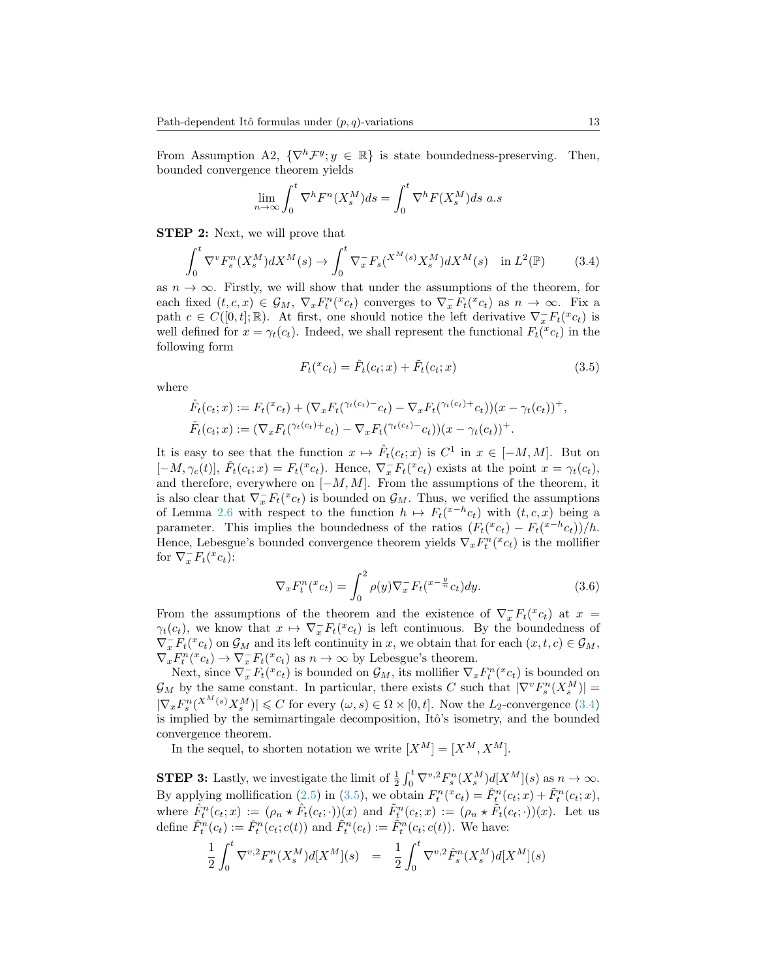From Assumption A2,  $\{\nabla^h \mathcal{F}^y; y \in \mathbb{R}\}\$ is state boundedness-preserving. Then, bounded convergence theorem yields

$$
\lim_{n \to \infty} \int_0^t \nabla^h F^n(X_s^M) ds = \int_0^t \nabla^h F(X_s^M) ds \ a.s
$$

STEP 2: Next, we will prove that

$$
\int_0^t \nabla^v F_s^n(X_s^M) dX^M(s) \to \int_0^t \nabla_x^- F_s(X^M(s) X_s^M) dX^M(s) \quad \text{in } L^2(\mathbb{P}) \tag{3.4}
$$

as  $n \to \infty$ . Firstly, we will show that under the assumptions of the theorem, for each fixed  $(t, c, x) \in \mathcal{G}_M$ ,  $\nabla_x F^n_t({}^x c_t)$  converges to  $\nabla_x F^n_t({}^x c_t)$  as  $n \to \infty$ . Fix a path  $c \in C([0,t];\mathbb{R})$ . At first, one should notice the left derivative  $\nabla_x^+ F_t({}^x c_t)$  is well defined for  $x = \gamma_t(c_t)$ . Indeed, we shall represent the functional  $F_t({}^x c_t)$  in the following form

<span id="page-12-1"></span><span id="page-12-0"></span>
$$
F_t({}^x c_t) = \hat{F}_t(c_t; x) + \tilde{F}_t(c_t; x)
$$
\n(3.5)

where

$$
\hat{F}_t(c_t; x) := F_t({}^{\tau}c_t) + (\nabla_x F_t({}^{\gamma_t(c_t)-}c_t) - \nabla_x F_t({}^{\gamma_t(c_t)+}c_t))(x - \gamma_t(c_t))^{+},
$$
  

$$
\tilde{F}_t(c_t; x) := (\nabla_x F_t({}^{\gamma_t(c_t)+}c_t) - \nabla_x F_t({}^{\gamma_t(c_t)-}c_t))(x - \gamma_t(c_t))^{+}.
$$

It is easy to see that the function  $x \mapsto \hat{F}_t(c_t; x)$  is  $C^1$  in  $x \in [-M, M]$ . But on  $[-M, \gamma_c(t)], \hat{F}_t(c_t; x) = F_t({}^x c_t).$  Hence,  $\nabla_x - F_t({}^x c_t)$  exists at the point  $x = \gamma_t(c_t),$ and therefore, everywhere on  $[-M, M]$ . From the assumptions of the theorem, it is also clear that  $\nabla_x^- F_t({}^x c_t)$  is bounded on  $\mathcal{G}_M$ . Thus, we verified the assumptions of Lemma [2.6](#page-8-0) with respect to the function  $h \mapsto F_t(x^{-h}c_t)$  with  $(t, c, x)$  being a parameter. This implies the boundedness of the ratios  $(F_t({}^x c_t) - F_t({}^{x-h} c_t))/h$ . Hence, Lebesgue's bounded convergence theorem yields  $\nabla_x F_t^n(x_{c_t})$  is the mollifier for  $\nabla_x^- F_t({}^x c_t)$ :

$$
\nabla_x F_t^n(x_{ct}) = \int_0^2 \rho(y) \nabla_x F_t(x - \frac{y}{n} c_t) dy.
$$
\n(3.6)

From the assumptions of the theorem and the existence of  $\nabla_x F_t(x_t)$  at  $x =$  $\gamma_t(c_t)$ , we know that  $x \mapsto \nabla_x F_t(x_t)$  is left continuous. By the boundedness of  $\nabla_x^- F_t({}^x c_t)$  on  $\mathcal{G}_M$  and its left continuity in x, we obtain that for each  $(x, t, c) \in \mathcal{G}_M$ ,  $\nabla_x F^n_t({}^x c_t) \rightarrow \nabla_x^- F_t({}^x c_t)$  as  $n \rightarrow \infty$  by Lebesgue's theorem.

Next, since  $\nabla_x F_t({}^x c_t)$  is bounded on  $\mathcal{G}_M$ , its mollifier  $\nabla_x F_t^n({}^x c_t)$  is bounded on  $\mathcal{G}_M$  by the same constant. In particular, there exists C such that  $|\nabla^v F_s^n(X_s^M)| =$  $|\nabla_x F_s^n(X^{M}(s)X_s^M)| \leq C$  for every  $(\omega, s) \in \Omega \times [0, t]$ . Now the L<sub>2</sub>-convergence [\(3.4\)](#page-12-0) is implied by the semimartingale decomposition, Itô's isometry, and the bounded convergence theorem.

In the sequel, to shorten notation we write  $[X^M] = [X^M, X^M]$ .

**STEP 3:** Lastly, we investigate the limit of  $\frac{1}{2} \int_0^t \nabla^{v,2} F_s^n(X_s^M) d[X^M](s)$  as  $n \to \infty$ . By applying mollification [\(2.5\)](#page-7-0) in [\(3.5\)](#page-12-1), we obtain  $F_t^n(x_{ct}) = \hat{F}_t^n(c_t; x) + \tilde{F}_t^n(c_t; x)$ , where  $\hat{F}_t^n(c_t; x) := (\rho_n \star \hat{F}_t(c_t; \cdot))(x)$  and  $\tilde{F}_t^n(c_t; x) := (\rho_n \star \tilde{F}_t(c_t; \cdot))(x)$ . Let us define  $\hat{F}_t^n(c_t) := \hat{F}_t^n(c_t; c(t))$  and  $\tilde{F}_t^n(c_t) := \tilde{F}_t^n(c_t; c(t))$ . We have:

<span id="page-12-2"></span>
$$
\frac{1}{2} \int_0^t \nabla^{v,2} F_s^n(X_s^M) d[X^M](s) = \frac{1}{2} \int_0^t \nabla^{v,2} \hat{F}_s^n(X_s^M) d[X^M](s)
$$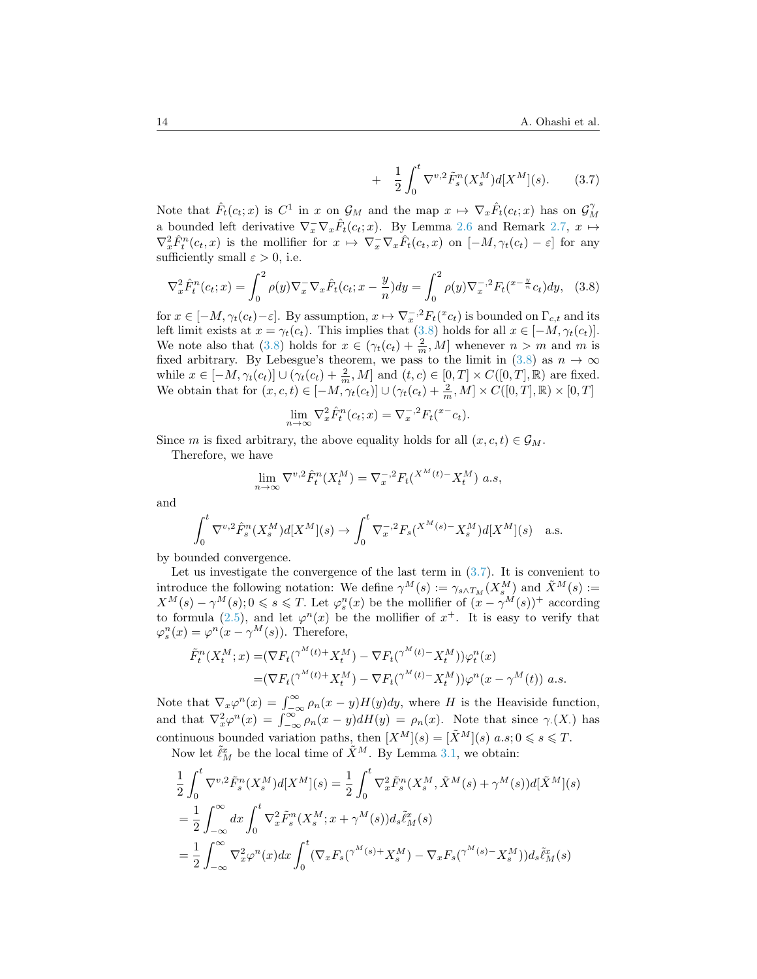+ 
$$
\frac{1}{2} \int_0^t \nabla^{v,2} \tilde{F}_s^n(X_s^M) d[X^M](s)
$$
. (3.7)

Note that  $\hat{F}_t(c_t; x)$  is  $C^1$  in x on  $\mathcal{G}_M$  and the map  $x \mapsto \nabla_x \hat{F}_t(c_t; x)$  has on  $\mathcal{G}_M^{\gamma}$ a bounded left derivative  $\nabla_x^-\nabla_x\hat{F}_t(c_t;x)$ . By Lemma [2.6](#page-8-0) and Remark [2.7,](#page-8-4)  $x \mapsto$  $\nabla_x^2 \hat{F}_t^n(c_t, x)$  is the mollifier for  $x \mapsto \nabla_x^-\nabla_x \hat{F}_t(c_t, x)$  on  $[-M, \gamma_t(c_t) - \varepsilon]$  for any sufficiently small  $\varepsilon > 0$ , i.e.

<span id="page-13-0"></span>
$$
\nabla_x^2 \hat{F}_t^n(c_t; x) = \int_0^2 \rho(y) \nabla_x \nabla_x \hat{F}_t(c_t; x - \frac{y}{n}) dy = \int_0^2 \rho(y) \nabla_x^{-2} F_t(\frac{x - \frac{y}{n}}{c_t}) dy, \tag{3.8}
$$

for  $x \in [-M, \gamma_t(c_t) - \varepsilon]$ . By assumption,  $x \mapsto \nabla_x^{-2} F_t({}^x c_t)$  is bounded on  $\Gamma_{c,t}$  and its left limit exists at  $x = \gamma_t(c_t)$ . This implies that [\(3.8\)](#page-13-0) holds for all  $x \in [-M, \gamma_t(c_t)]$ . We note also that [\(3.8\)](#page-13-0) holds for  $x \in (\gamma_t(c_t) + \frac{2}{m}, M]$  whenever  $n > m$  and m is fixed arbitrary. By Lebesgue's theorem, we pass to the limit in [\(3.8\)](#page-13-0) as  $n \to \infty$ while  $x \in [-M, \gamma_t(c_t)] \cup (\gamma_t(c_t) + \frac{2}{m}, M]$  and  $(t, c) \in [0, T] \times C([0, T], \mathbb{R})$  are fixed. We obtain that for  $(x, c, t) \in [-M, \gamma_t(c_t)] \cup (\gamma_t(c_t) + \frac{2}{m}, M] \times C([0, T], \mathbb{R}) \times [0, T]$ 

$$
\lim_{n \to \infty} \nabla_x^2 \hat{F}_t^n(c_t; x) = \nabla_x^{-2} F_t({}^{x-}c_t).
$$

Since m is fixed arbitrary, the above equality holds for all  $(x, c, t) \in \mathcal{G}_M$ .

Therefore, we have

$$
\lim_{n \to \infty} \nabla^{v,2} \hat{F}^n_t(X_t^M) = \nabla_x^{-,2} F_t(X^M(t) - X_t^M) \ a.s,
$$

and

$$
\int_0^t \nabla^{v,2} \hat{F}^n_s(X_s^M) d[X^M](s) \to \int_0^t \nabla_x^{-,2} F_s(X^M(s) - X_s^M) d[X^M](s) \quad \text{a.s.}
$$

by bounded convergence.

Let us investigate the convergence of the last term in  $(3.7)$ . It is convenient to introduce the following notation: We define  $\gamma^M(s) := \gamma_{s \wedge T_M}(X_s^M)$  and  $\tilde{X}^M(s) :=$  $X^M(s) - \gamma^M(s)$ ;  $0 \le s \le T$ . Let  $\varphi_s^n(x)$  be the mollifier of  $(x - \gamma^M(s))^+$  according to formula [\(2.5\)](#page-7-0), and let  $\varphi^{n}(x)$  be the mollifier of  $x^{+}$ . It is easy to verify that  $\varphi_s^n(x) = \varphi^n(x - \gamma^M(s)).$  Therefore,

$$
\tilde{F}_t^n(X_t^M; x) = (\nabla F_t(\gamma^M(t) + X_t^M) - \nabla F_t(\gamma^M(t) - X_t^M))\varphi_t^n(x)
$$
  
= 
$$
(\nabla F_t(\gamma^M(t) + X_t^M) - \nabla F_t(\gamma^M(t) - X_t^M))\varphi^n(x - \gamma^M(t)) \ a.s.
$$

Note that  $\nabla_x \varphi^n(x) = \int_{-\infty}^{\infty} \rho_n(x - y) H(y) dy$ , where H is the Heaviside function, and that  $\nabla_x^2 \varphi^n(x) = \int_{-\infty}^{\infty} \rho_n(x - y) dH(y) = \rho_n(x)$ . Note that since  $\gamma(x)$  has continuous bounded variation paths, then  $[X^M](s) = [\tilde{X}^M](s)$   $a.s; 0 \le s \le T$ . Now let  $\tilde{\ell}_M^x$  be the local time of  $\tilde{X}^M$ . By Lemma [3.1,](#page-10-2) we obtain:

$$
\begin{split}\n&\frac{1}{2} \int_{0}^{t} \nabla^{v,2} \tilde{F}_{s}^{n}(X_{s}^{M}) d[X^{M}](s) = \frac{1}{2} \int_{0}^{t} \nabla_{x}^{2} \tilde{F}_{s}^{n}(X_{s}^{M}, \tilde{X}^{M}(s) + \gamma^{M}(s)) d[\tilde{X}^{M}](s) \\
&= \frac{1}{2} \int_{-\infty}^{\infty} dx \int_{0}^{t} \nabla_{x}^{2} \tilde{F}_{s}^{n}(X_{s}^{M}; x + \gamma^{M}(s)) d_{s} \tilde{\ell}_{M}^{x}(s) \\
&= \frac{1}{2} \int_{-\infty}^{\infty} \nabla_{x}^{2} \varphi^{n}(x) dx \int_{0}^{t} (\nabla_{x} F_{s}(\gamma^{M}(s) + X_{s}^{M}) - \nabla_{x} F_{s}(\gamma^{M}(s) - X_{s}^{M})) d_{s} \tilde{\ell}_{M}^{x}(s)\n\end{split}
$$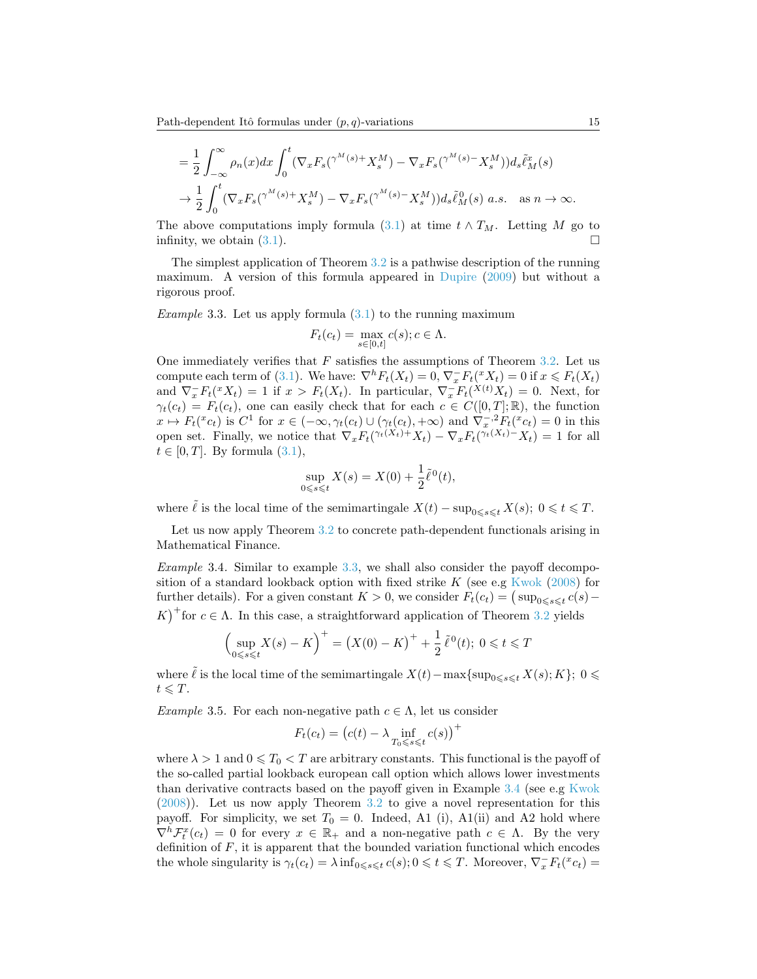$$
= \frac{1}{2} \int_{-\infty}^{\infty} \rho_n(x) dx \int_0^t (\nabla_x F_s(\gamma^M(s) + X_s^M) - \nabla_x F_s(\gamma^M(s) - X_s^M)) d_s \tilde{\ell}_M^x(s)
$$
  

$$
\to \frac{1}{2} \int_0^t (\nabla_x F_s(\gamma^M(s) + X_s^M) - \nabla_x F_s(\gamma^M(s) - X_s^M)) d_s \tilde{\ell}_M^0(s) \ a.s. \quad \text{as } n \to \infty.
$$

The above computations imply formula [\(3.1\)](#page-11-1) at time  $t \wedge T_M$ . Letting M go to infinity, we obtain  $(3.1)$ .

The simplest application of Theorem [3.2](#page-11-0) is a pathwise description of the running maximum. A version of this formula appeared in [Dupire](#page-29-8) [\(2009\)](#page-29-8) but without a rigorous proof.

<span id="page-14-0"></span>Example 3.3. Let us apply formula  $(3.1)$  to the running maximum

$$
F_t(c_t) = \max_{s \in [0,t]} c(s); c \in \Lambda.
$$

One immediately verifies that  $F$  satisfies the assumptions of Theorem [3.2.](#page-11-0) Let us compute each term of [\(3.1\)](#page-11-1). We have:  $\nabla^h F_t(X_t) = 0$ ,  $\nabla_x \overline{F_t}(\mathcal{X}_t) = 0$  if  $x \leq F_t(X_t)$ and  $\nabla_x F_t({}^x X_t) = 1$  if  $x > F_t(X_t)$ . In particular,  $\nabla_x F_t({}^{X(t)} X_t) = 0$ . Next, for  $\gamma_t(c_t) = F_t(c_t)$ , one can easily check that for each  $c \in C([0,T];\mathbb{R})$ , the function  $x \mapsto F_t({}^x c_t)$  is  $C^1$  for  $x \in (-\infty, \gamma_t(c_t) \cup (\gamma_t(c_t), +\infty)$  and  $\nabla_x^{-2} F_t({}^x c_t) = 0$  in this open set. Finally, we notice that  $\nabla_x F_t(\gamma_t(X_t) + X_t) - \nabla_x F_t(\gamma_t(X_t) - X_t) = 1$  for all  $t \in [0, T]$ . By formula  $(3.1)$ ,

$$
\sup_{0 \le s \le t} X(s) = X(0) + \frac{1}{2} \tilde{\ell}^0(t),
$$

where  $\tilde{\ell}$  is the local time of the semimartingale  $X(t) - \sup_{0 \leq s \leq t} X(s); 0 \leq t \leq T$ .

Let us now apply Theorem [3.2](#page-11-0) to concrete path-dependent functionals arising in Mathematical Finance.

<span id="page-14-1"></span>Example 3.4. Similar to example [3.3,](#page-14-0) we shall also consider the payoff decomposition of a standard lookback option with fixed strike  $K$  (see e.g [Kwok](#page-29-14) [\(2008\)](#page-29-14) for further details). For a given constant  $K > 0$ , we consider  $F_t(c_t) = (\sup_{0 \le s \le t} c(s) -$ K<sup> $+$ </sup> for  $c \in \Lambda$ . In this case, a straightforward application of Theorem [3.2](#page-11-0) yields

$$
\left(\sup_{0 \le s \le t} X(s) - K\right)^{+} = \left(X(0) - K\right)^{+} + \frac{1}{2} \tilde{\ell}^{0}(t); \ 0 \le t \le T
$$

where  $\tilde{\ell}$  is the local time of the semimartingale  $X(t)-\max\{\sup_{0\leq s\leq t} X(s); K\}; 0 \leq$  $t \leqslant T$ .

Example 3.5. For each non-negative path  $c \in \Lambda$ , let us consider

$$
F_t(c_t) = (c(t) - \lambda \inf_{T_0 \le s \le t} c(s))^+
$$

where  $\lambda > 1$  and  $0 \leq T_0 < T$  are arbitrary constants. This functional is the payoff of the so-called partial lookback european call option which allows lower investments than derivative contracts based on the payoff given in Example [3.4](#page-14-1) (see e.g [Kwok](#page-29-14) [\(2008\)](#page-29-14)). Let us now apply Theorem [3.2](#page-11-0) to give a novel representation for this payoff. For simplicity, we set  $T_0 = 0$ . Indeed, A1 (i), A1(ii) and A2 hold where  $\nabla^h \mathcal{F}^x_t(c_t) = 0$  for every  $x \in \mathbb{R}_+$  and a non-negative path  $c \in \Lambda$ . By the very definition of  $F$ , it is apparent that the bounded variation functional which encodes the whole singularity is  $\gamma_t(c_t) = \lambda \inf_{0 \leq s \leq t} c(s)$ ;  $0 \leq t \leq T$ . Moreover,  $\nabla_x \overline{F_t}(c_t) =$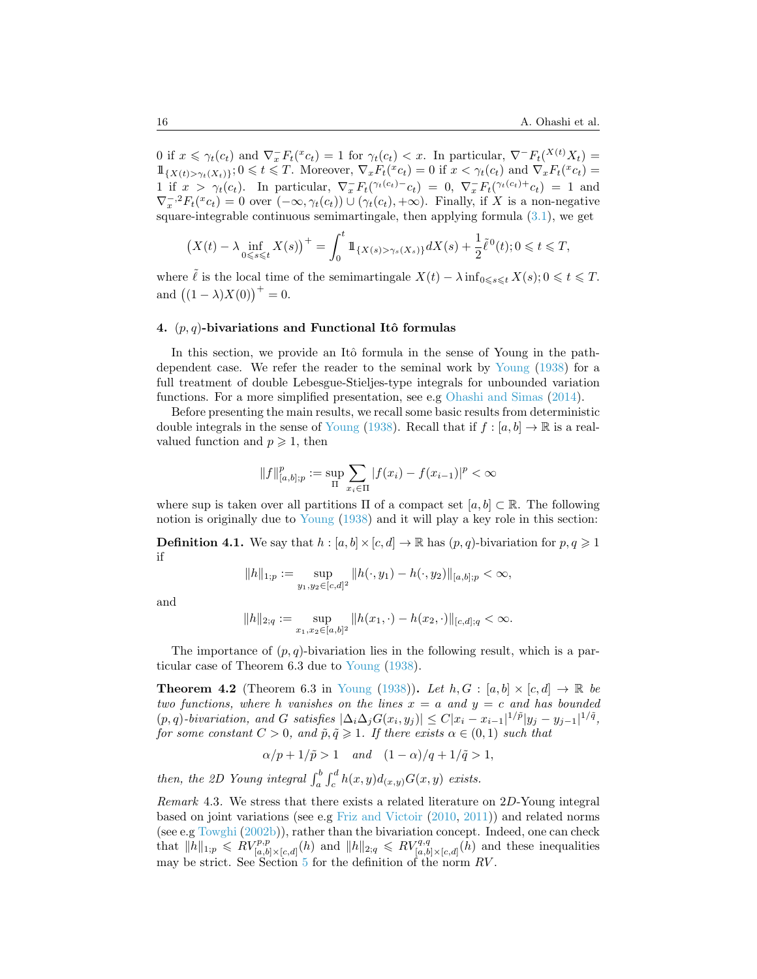0 if  $x \le \gamma_t(c_t)$  and  $\nabla_x^- F_t({}^x c_t) = 1$  for  $\gamma_t(c_t) < x$ . In particular,  $\nabla^- F_t({}^{X(t)} X_t) =$  $1\!\!1_{\{X(t) > \gamma_t(X_t)\}}; 0 \leq t \leq T$ . Moreover,  $\nabla_x F_t({}^x c_t) = 0$  if  $x < \gamma_t(c_t)$  and  $\nabla_x F_t({}^x c_t) = 0$ 1 if  $x > \gamma_t(c_t)$ . In particular,  $\nabla_x F_t(\gamma_t(c_t) - c_t) = 0$ ,  $\nabla_x F_t(\gamma_t(c_t) + c_t) = 1$  and  $\nabla_x^{-2} F_t({}^x c_t) = 0$  over  $(-\infty, \gamma_t(c_t)) \cup (\gamma_t(c_t), +\infty)$ . Finally, if X is a non-negative square-integrable continuous semimartingale, then applying formula  $(3.1)$ , we get

$$
\left(X(t) - \lambda \inf_{0 \leq s \leq t} X(s)\right)^{+} = \int_{0}^{t} 1\!\!1_{\{X(s) > \gamma_s(X_s)\}} dX(s) + \frac{1}{2} \tilde{\ell}^0(t); 0 \leq t \leq T,
$$

where  $\tilde{\ell}$  is the local time of the semimartingale  $X(t) - \lambda \inf_{0 \leq s \leq t} X(s); 0 \leq t \leq T$ . and  $((1 - \lambda)X(0))^+ = 0$ .

#### <span id="page-15-0"></span>4.  $(p, q)$ -bivariations and Functional Itô formulas

In this section, we provide an Itô formula in the sense of Young in the pathdependent case. We refer the reader to the seminal work by [Young](#page-30-0) [\(1938\)](#page-30-0) for a full treatment of double Lebesgue-Stieljes-type integrals for unbounded variation functions. For a more simplified presentation, see e.g [Ohashi and Simas](#page-29-15) [\(2014\)](#page-29-15).

Before presenting the main results, we recall some basic results from deterministic double integrals in the sense of [Young](#page-30-0) [\(1938\)](#page-30-0). Recall that if  $f : [a, b] \to \mathbb{R}$  is a realvalued function and  $p \geqslant 1$ , then

$$
||f||_{[a,b];p}^p := \sup_{\Pi} \sum_{x_i \in \Pi} |f(x_i) - f(x_{i-1})|^p < \infty
$$

where sup is taken over all partitions  $\Pi$  of a compact set  $[a, b] \subset \mathbb{R}$ . The following notion is originally due to [Young](#page-30-0) [\(1938\)](#page-30-0) and it will play a key role in this section:

**Definition 4.1.** We say that  $h : [a, b] \times [c, d] \rightarrow \mathbb{R}$  has  $(p, q)$ -bivariation for  $p, q \geq 1$ if

$$
||h||_{1;p} := \sup_{y_1, y_2 \in [c,d]^2} ||h(\cdot, y_1) - h(\cdot, y_2)||_{[a,b];p} < \infty,
$$

and

$$
||h||_{2;q} := \sup_{x_1,x_2 \in [a,b]^2} ||h(x_1,\cdot) - h(x_2,\cdot)||_{[c,d];q} < \infty.
$$

The importance of  $(p, q)$ -bivariation lies in the following result, which is a particular case of Theorem 6.3 due to [Young](#page-30-0) [\(1938\)](#page-30-0).

**Theorem 4.2** (Theorem 6.3 in [Young](#page-30-0) [\(1938\)](#page-30-0)). Let  $h, G : [a, b] \times [c, d] \rightarrow \mathbb{R}$  be two functions, where h vanishes on the lines  $x = a$  and  $y = c$  and has bounded  $(p,q)$ -bivariation, and G satisfies  $|\Delta_i\Delta_jG(x_i,y_j)| \leq C|x_i - x_{i-1}|^{1/\tilde{p}}|y_j - y_{j-1}|^{1/\tilde{q}}$ , for some constant  $C > 0$ , and  $\tilde{p}, \tilde{q} \geq 1$ . If there exists  $\alpha \in (0, 1)$  such that

$$
\alpha/p+1/\tilde{p} > 1
$$
 and  $(1-\alpha)/q+1/\tilde{q} > 1$ ,

then, the 2D Young integral  $\int_a^b \int_c^d h(x,y)d_{(x,y)}G(x,y)$  exists.

Remark 4.3. We stress that there exists a related literature on 2D-Young integral based on joint variations (see e.g [Friz and Victoir](#page-29-7) [\(2010,](#page-29-7) [2011\)](#page-29-16)) and related norms (see e.g [Towghi](#page-29-17) [\(2002b\)](#page-29-17)), rather than the bivariation concept. Indeed, one can check that  $||h||_{1;p} \leqslant RV_{[a,b]\times[c,d]}^{p,p}$  (h) and  $||h||_{2;q} \leqslant RV_{[a,b]\times[c,d]}^{q,q}$  (h) and these inequalities may be strict. See Section  $5$  for the definition of the norm  $RV$ .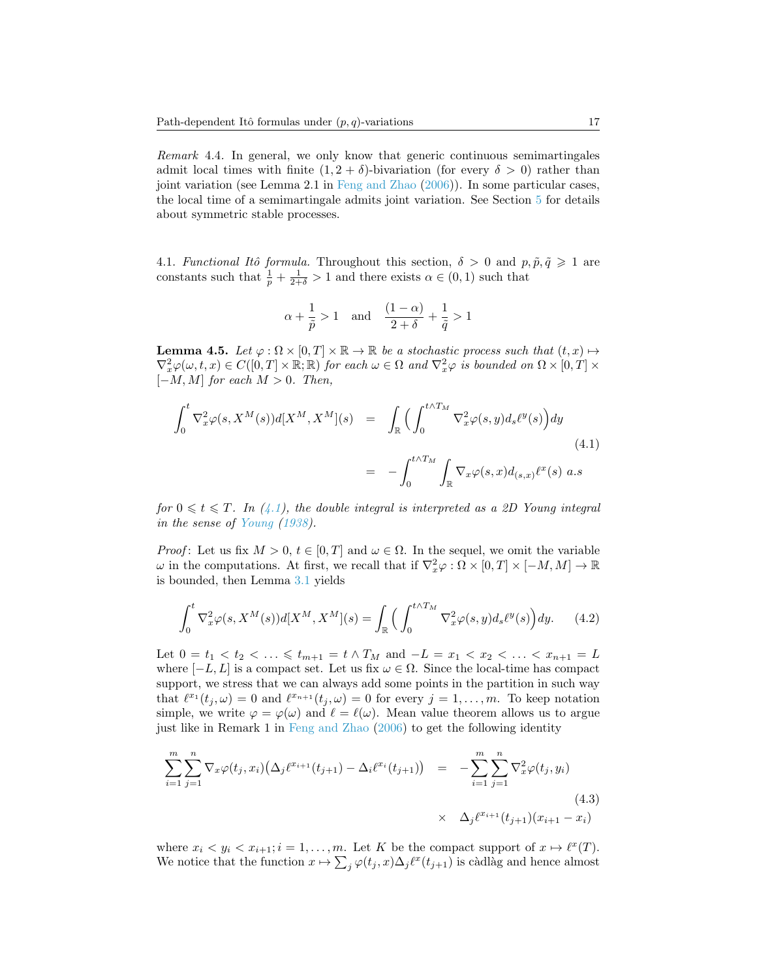Remark 4.4. In general, we only know that generic continuous semimartingales admit local times with finite  $(1, 2 + \delta)$ -bivariation (for every  $\delta > 0$ ) rather than joint variation (see Lemma 2.1 in [Feng and Zhao](#page-29-1) [\(2006\)](#page-29-1)). In some particular cases, the local time of a semimartingale admits joint variation. See Section [5](#page-21-0) for details about symmetric stable processes.

<span id="page-16-3"></span>4.1. Functional Itô formula. Throughout this section,  $\delta > 0$  and  $p, \tilde{p}, \tilde{q} \geq 1$  are constants such that  $\frac{1}{p} + \frac{1}{2+\delta} > 1$  and there exists  $\alpha \in (0,1)$  such that

$$
\alpha+\frac{1}{\tilde{p}}>1 \quad \text{and} \quad \frac{(1-\alpha)}{2+\delta}+\frac{1}{\tilde{q}}>1
$$

<span id="page-16-2"></span>**Lemma 4.5.** Let  $\varphi : \Omega \times [0,T] \times \mathbb{R} \to \mathbb{R}$  be a stochastic process such that  $(t,x) \mapsto$  $\nabla_x^2 \varphi(\omega, t, x) \in C([0, T] \times \mathbb{R}; \mathbb{R})$  for each  $\omega \in \Omega$  and  $\nabla_x^2 \varphi$  is bounded on  $\Omega \times [0, T] \times$  $[-M, M]$  for each  $M > 0$ . Then,

<span id="page-16-0"></span>
$$
\int_0^t \nabla_x^2 \varphi(s, X^M(s)) d[X^M, X^M](s) = \int_{\mathbb{R}} \Big( \int_0^{t \wedge T_M} \nabla_x^2 \varphi(s, y) d_s \ell^y(s) \Big) dy
$$
\n
$$
= - \int_0^{t \wedge T_M} \int_{\mathbb{R}} \nabla_x \varphi(s, x) d_{(s, x)} \ell^x(s) a.s
$$
\n(4.1)

for  $0 \leq t \leq T$ . In [\(4.1\)](#page-16-0), the double integral is interpreted as a 2D Young integral in the sense of [Young](#page-30-0) [\(1938\)](#page-30-0).

*Proof*: Let us fix  $M > 0$ ,  $t \in [0, T]$  and  $\omega \in \Omega$ . In the sequel, we omit the variable  $\omega$  in the computations. At first, we recall that if  $\nabla_x^2 \varphi : \Omega \times [0,T] \times [-M,M] \to \mathbb{R}$ is bounded, then Lemma [3.1](#page-10-2) yields

$$
\int_0^t \nabla_x^2 \varphi(s, X^M(s)) d[X^M, X^M](s) = \int_{\mathbb{R}} \Big( \int_0^{t \wedge T_M} \nabla_x^2 \varphi(s, y) d_s \ell^y(s) \Big) dy. \tag{4.2}
$$

Let  $0 = t_1 < t_2 < \ldots \leq t_{m+1} = t \wedge T_M$  and  $-L = x_1 < x_2 < \ldots < x_{n+1} = L$ where  $[-L, L]$  is a compact set. Let us fix  $\omega \in \Omega$ . Since the local-time has compact support, we stress that we can always add some points in the partition in such way that  $\ell^{x_1}(t_j, \omega) = 0$  and  $\ell^{x_{n+1}}(t_j, \omega) = 0$  for every  $j = 1, \ldots, m$ . To keep notation simple, we write  $\varphi = \varphi(\omega)$  and  $\ell = \ell(\omega)$ . Mean value theorem allows us to argue just like in Remark 1 in [Feng and Zhao](#page-29-1) [\(2006\)](#page-29-1) to get the following identity

<span id="page-16-1"></span>
$$
\sum_{i=1}^{m} \sum_{j=1}^{n} \nabla_x \varphi(t_j, x_i) \big( \Delta_j \ell^{x_{i+1}}(t_{j+1}) - \Delta_i \ell^{x_i}(t_{j+1}) \big) = - \sum_{i=1}^{m} \sum_{j=1}^{n} \nabla_x^2 \varphi(t_j, y_i)
$$
\n
$$
\times \Delta_j \ell^{x_{i+1}}(t_{j+1}) (x_{i+1} - x_i)
$$
\n(4.3)

where  $x_i < y_i < x_{i+1}$ ;  $i = 1, ..., m$ . Let K be the compact support of  $x \mapsto \ell^x(T)$ . We notice that the function  $x \mapsto \sum_j \varphi(t_j, x) \Delta_j \ell^x(t_{j+1})$  is càdlàg and hence almost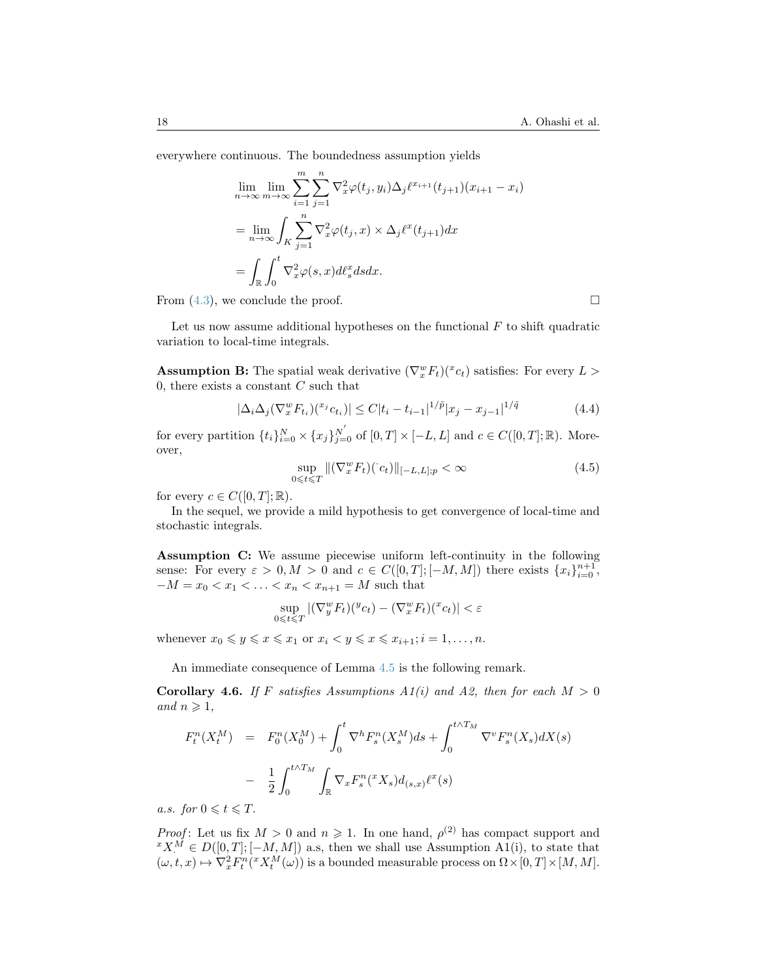everywhere continuous. The boundedness assumption yields

$$
\lim_{n \to \infty} \lim_{m \to \infty} \sum_{i=1}^{m} \sum_{j=1}^{n} \nabla_x^2 \varphi(t_j, y_i) \Delta_j \ell^{x_{i+1}}(t_{j+1}) (x_{i+1} - x_i)
$$
\n
$$
= \lim_{n \to \infty} \int_K \sum_{j=1}^{n} \nabla_x^2 \varphi(t_j, x) \times \Delta_j \ell^x(t_{j+1}) dx
$$
\n
$$
= \int_{\mathbb{R}} \int_0^t \nabla_x^2 \varphi(s, x) d\ell_s^x ds dx.
$$

From  $(4.3)$ , we conclude the proof.

Let us now assume additional hypotheses on the functional  $F$  to shift quadratic variation to local-time integrals.

**Assumption B:** The spatial weak derivative  $(\nabla_x^w F_t)(x_c)$  satisfies: For every  $L >$ 0, there exists a constant  $C$  such that

<span id="page-17-2"></span>
$$
|\Delta_i \Delta_j (\nabla_x^w F_{t_i})({}^{x_j} c_{t_i})| \le C |t_i - t_{i-1}|^{1/\tilde{p}} |x_j - x_{j-1}|^{1/\tilde{q}} \tag{4.4}
$$

for every partition  $\{t_i\}_{i=0}^N \times \{x_j\}_{j=0}^{N'}$  of  $[0,T] \times [-L,L]$  and  $c \in C([0,T];\mathbb{R})$ . Moreover,

<span id="page-17-0"></span>
$$
\sup_{0 \leq t \leq T} \| (\nabla_x^w F_t)(c_t) \|_{[-L, L]; p} < \infty \tag{4.5}
$$

for every  $c \in C([0,T];\mathbb{R})$ .

In the sequel, we provide a mild hypothesis to get convergence of local-time and stochastic integrals.

Assumption C: We assume piecewise uniform left-continuity in the following sense: For every  $\varepsilon > 0, M > 0$  and  $c \in C([0, T]; [-M, M])$  there exists  $\{x_i\}_{i=0}^{n+1}$ ,  $-M = x_0 < x_1 < \ldots < x_n < x_{n+1} = M$  such that

$$
\sup_{0 \leq t \leq T} |(\nabla_y^w F_t)(\nabla_x^w F_t) - (\nabla_x^w F_t)(\nabla_x^w F_t)| < \varepsilon
$$

whenever  $x_0 \leq y \leq x \leq x_1$  or  $x_i < y \leq x \leq x_{i+1}; i = 1, \ldots, n$ .

An immediate consequence of Lemma [4.5](#page-16-2) is the following remark.

<span id="page-17-1"></span>Corollary 4.6. If F satisfies Assumptions  $A_1(i)$  and A2, then for each  $M > 0$ and  $n \geqslant 1$ ,

$$
F_t^n(X_t^M) = F_0^n(X_0^M) + \int_0^t \nabla^h F_s^n(X_s^M) ds + \int_0^{t \wedge T_M} \nabla^v F_s^n(X_s) dX(s)
$$
  
- 
$$
\frac{1}{2} \int_0^{t \wedge T_M} \int_{\mathbb{R}} \nabla_x F_s^n({}^x X_s) d_{(s,x)} \ell^x(s)
$$

a.s. for  $0 \leqslant t \leqslant T$ .

*Proof*: Let us fix  $M > 0$  and  $n \ge 1$ . In one hand,  $\rho^{(2)}$  has compact support and  ${}^{x}X^{M} \in D([0, T]; [-M, M])$  a.s, then we shall use Assumption A1(i), to state that  $(\omega, t, x) \mapsto \nabla_x^2 F_t^n({}^x X_t^M(\omega))$  is a bounded measurable process on  $\Omega \times [0, T] \times [M, M]$ .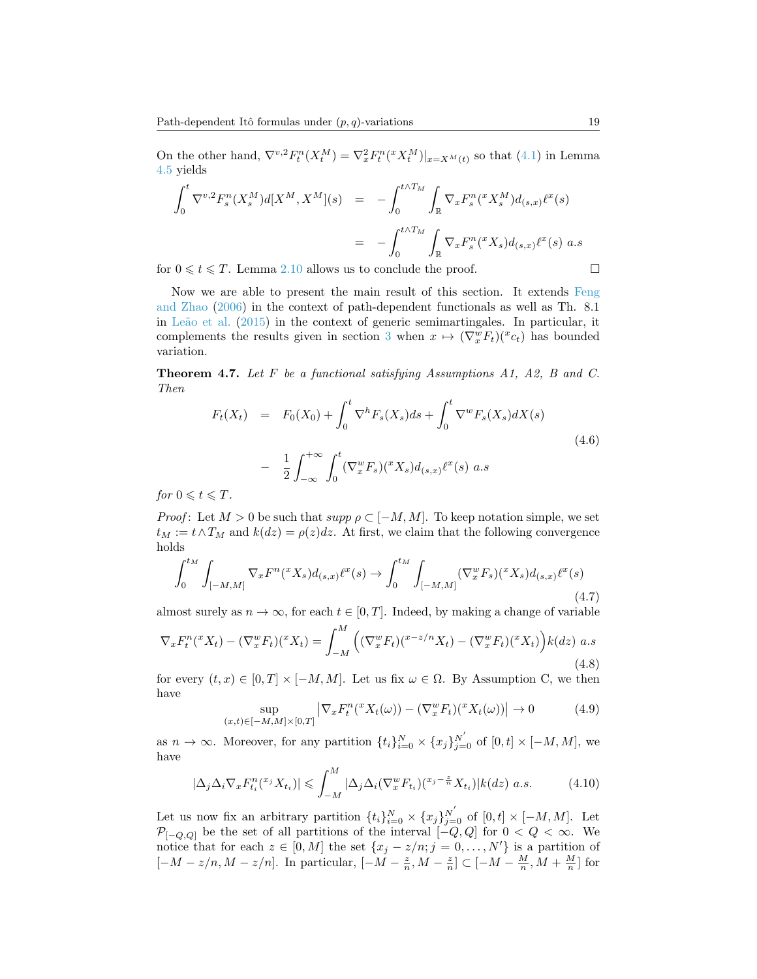On the other hand,  $\nabla^{v,2} F^n_t(X_t^M) = \nabla_x^2 F^n_t(X_t^M)|_{x=X^M(t)}$  so that [\(4.1\)](#page-16-0) in Lemma [4.5](#page-16-2) yields

$$
\int_{0}^{t} \nabla^{v,2} F_{s}^{n}(X_{s}^{M}) d[X^{M}, X^{M}](s) = -\int_{0}^{t \wedge T_{M}} \int_{\mathbb{R}} \nabla_{x} F_{s}^{n}(^{x} X_{s}^{M}) d_{(s,x)} \ell^{x}(s)
$$

$$
= -\int_{0}^{t \wedge T_{M}} \int_{\mathbb{R}} \nabla_{x} F_{s}^{n}(^{x} X_{s}) d_{(s,x)} \ell^{x}(s) \; a.s
$$

for  $0 \leq t \leq T$ . Lemma [2.10](#page-9-1) allows us to conclude the proof.

Now we are able to present the main result of this section. It extends [Feng](#page-29-1) [and Zhao](#page-29-1) [\(2006\)](#page-29-1) in the context of path-dependent functionals as well as Th. 8.1 in Leão et al.  $(2015)$  in the context of generic semimartingales. In particular, it complements the results given in section [3](#page-10-0) when  $x \mapsto (\nabla_x^w F_t)(x_c)$  has bounded variation.

<span id="page-18-0"></span>**Theorem 4.7.** Let  $F$  be a functional satisfying Assumptions A1, A2, B and C. Then

<span id="page-18-4"></span>
$$
F_t(X_t) = F_0(X_0) + \int_0^t \nabla^h F_s(X_s) ds + \int_0^t \nabla^w F_s(X_s) dX(s)
$$
  

$$
- \frac{1}{2} \int_{-\infty}^{+\infty} \int_0^t (\nabla_x^w F_s)(^x X_s) d_{(s,x)} \ell^x(s) a.s
$$

for  $0 \leqslant t \leqslant T$ .

*Proof*: Let  $M > 0$  be such that  $supp \rho \subset [-M, M]$ . To keep notation simple, we set  $t_M := t \wedge T_M$  and  $k(dz) = \rho(z)dz$ . At first, we claim that the following convergence holds

<span id="page-18-3"></span>
$$
\int_{0}^{t_{M}} \int_{[-M,M]} \nabla_{x} F^{n}(^{x} X_{s}) d_{(s,x)} \ell^{x}(s) \to \int_{0}^{t_{M}} \int_{[-M,M]} (\nabla_{x}^{w} F_{s})({}^{x} X_{s}) d_{(s,x)} \ell^{x}(s)
$$
\n(4.7)

almost surely as  $n \to \infty$ , for each  $t \in [0, T]$ . Indeed, by making a change of variable

$$
\nabla_x F_t^n(xX_t) - (\nabla_x^w F_t)(^x X_t) = \int_{-M}^M \left( (\nabla_x^w F_t)(^{x-z/n} X_t) - (\nabla_x^w F_t)(^x X_t) \right) k(dz) \ a.s \tag{4.8}
$$

for every  $(t, x) \in [0, T] \times [-M, M]$ . Let us fix  $\omega \in \Omega$ . By Assumption C, we then have

<span id="page-18-2"></span>
$$
\sup_{(x,t)\in[-M,M]\times[0,T]} \left| \nabla_x F_t^n({}^x X_t(\omega)) - (\nabla_x^w F_t)({}^x X_t(\omega)) \right| \to 0 \tag{4.9}
$$

as  $n \to \infty$ . Moreover, for any partition  $\{t_i\}_{i=0}^N \times \{x_j\}_{j=0}^{N'}$  of  $[0, t] \times [-M, M]$ , we have

<span id="page-18-1"></span>
$$
|\Delta_j \Delta_i \nabla_x F_{t_i}^{n}(x,X_{t_i})| \leqslant \int_{-M}^{M} |\Delta_j \Delta_i (\nabla_x^w F_{t_i}) (x - \frac{z}{n} X_{t_i})| k(dz) \ a.s. \tag{4.10}
$$

Let us now fix an arbitrary partition  $\{t_i\}_{i=0}^N \times \{x_j\}_{j=0}^{N'}$  of  $[0, t] \times [-M, M]$ . Let  $\mathcal{P}_{[-Q,Q]}$  be the set of all partitions of the interval  $[-Q,Q]$  for  $0 < Q < \infty$ . We notice that for each  $z \in [0, M]$  the set  $\{x_j - z/n; j = 0, \ldots, N'\}$  is a partition of  $[-M-z/n, M-z/n]$ . In particular,  $[-M-\frac{z}{n}, M-\frac{z}{n}] \subset [-M-\frac{M}{n}, M+\frac{M}{n}]$  for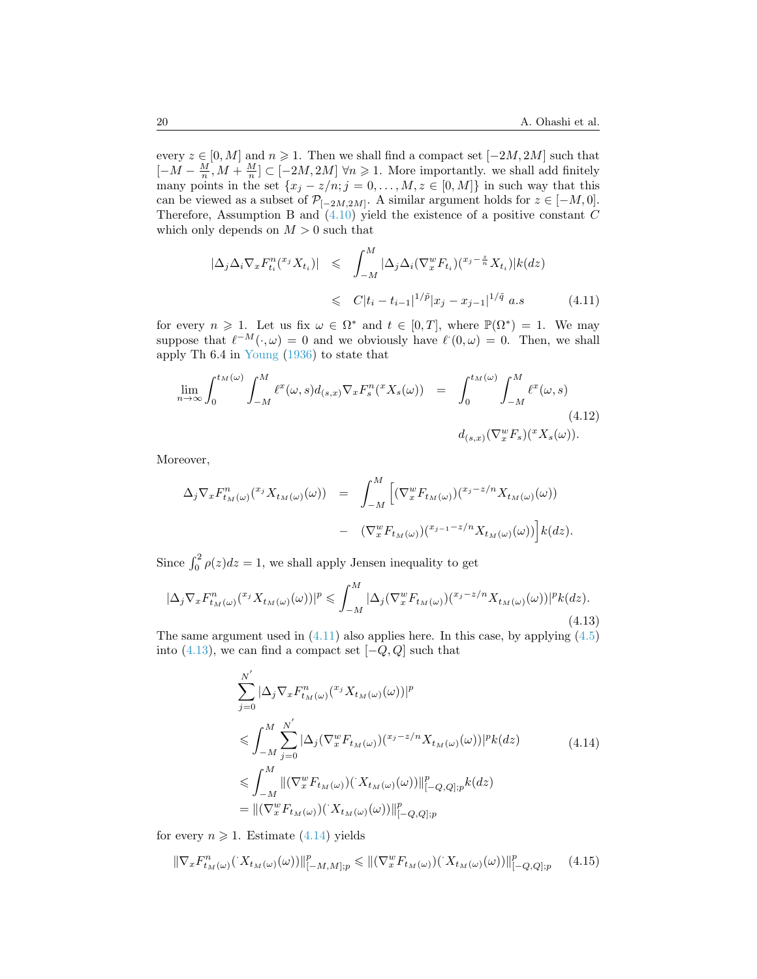every  $z \in [0, M]$  and  $n \geq 1$ . Then we shall find a compact set  $[-2M, 2M]$  such that  $[-M-\frac{M}{n},M+\frac{M}{n}]\subset [-2M,2M]$   $\forall n\geqslant 1$ . More importantly, we shall add finitely many points in the set  $\{x_j - z/n; j = 0, \ldots, M, z \in [0, M]\}$  in such way that this can be viewed as a subset of  $\mathcal{P}_{[-2M,2M]}$ . A similar argument holds for  $z \in [-M,0]$ . Therefore, Assumption B and  $(4.10)$  yield the existence of a positive constant C which only depends on  $M > 0$  such that

<span id="page-19-0"></span>
$$
|\Delta_j \Delta_i \nabla_x F_{t_i}^n({}^{x_j} X_{t_i})| \leq \int_{-M}^M |\Delta_j \Delta_i (\nabla_x^w F_{t_i})({}^{x_j - \frac{z}{n}} X_{t_i})| k(dz)
$$
  

$$
\leq C|t_i - t_{i-1}|^{1/\tilde{p}} |x_j - x_{j-1}|^{1/\tilde{q}} a.s
$$
(4.11)

for every  $n \geq 1$ . Let us fix  $\omega \in \Omega^*$  and  $t \in [0,T]$ , where  $\mathbb{P}(\Omega^*) = 1$ . We may suppose that  $\ell^{-M}(\cdot, \omega) = 0$  and we obviously have  $\ell(0, \omega) = 0$ . Then, we shall apply Th 6.4 in [Young](#page-30-1) [\(1936\)](#page-30-1) to state that

<span id="page-19-4"></span>
$$
\lim_{n \to \infty} \int_0^{t_M(\omega)} \int_{-M}^M \ell^x(\omega, s) d_{(s,x)} \nabla_x F_s^n({}^x X_s(\omega)) = \int_0^{t_M(\omega)} \int_{-M}^M \ell^x(\omega, s)
$$
\n
$$
d_{(s,x)} (\nabla_x^w F_s)({}^x X_s(\omega)).
$$
\n(4.12)

Moreover,

$$
\Delta_j \nabla_x F^n_{t_M(\omega)}({}^{x_j} X_{t_M(\omega)}(\omega)) = \int_{-M}^M \left[ (\nabla_x^w F_{t_M(\omega)})({}^{x_j-z/n} X_{t_M(\omega)}(\omega)) - (\nabla_x^w F_{t_M(\omega)})({}^{x_{j-1}-z/n} X_{t_M(\omega)}(\omega)) \right] k(dz).
$$

Since  $\int_0^2 \rho(z) dz = 1$ , we shall apply Jensen inequality to get

<span id="page-19-1"></span>
$$
|\Delta_j \nabla_x F^n_{t_M(\omega)}({}^{x_j} X_{t_M(\omega)}(\omega))|^p \leqslant \int_{-M}^M |\Delta_j(\nabla_x^w F_{t_M(\omega)})({}^{x_j - z/n} X_{t_M(\omega)}(\omega))|^p k(dz). \tag{4.13}
$$

The same argument used in  $(4.11)$  also applies here. In this case, by applying  $(4.5)$ into  $(4.13)$ , we can find a compact set  $[-Q, Q]$  such that

$$
\sum_{j=0}^{N'} |\Delta_j \nabla_x F^n_{t_M(\omega)}({}^{x_j} X_{t_M(\omega)}(\omega))|^p
$$
\n
$$
\leq \int_{-M}^{M} \sum_{j=0}^{N'} |\Delta_j (\nabla_x^w F_{t_M(\omega)})({}^{x_j-z/n} X_{t_M(\omega)}(\omega))|^p k(dz)
$$
\n
$$
\leq \int_{-M}^{M} ||(\nabla_x^w F_{t_M(\omega)})({}^{x_j(x)} X_{t_M(\omega)}(\omega))||^p_{[-Q,Q];p} k(dz)
$$
\n
$$
= ||(\nabla_x^w F_{t_M(\omega)})({}^{x_j(x)} X_{t_M(\omega)}(\omega))||^p_{[-Q,Q];p}
$$
\n(4.14)

<span id="page-19-2"></span>for every  $n \geq 1$ . Estimate [\(4.14\)](#page-19-2) yields

<span id="page-19-3"></span>
$$
\|\nabla_x F^n_{t_M(\omega)}(\cdot X_{t_M(\omega)}(\omega))\|_{[-M,M];p}^p \le \|\nabla_x^w F_{t_M(\omega)}(\cdot X_{t_M(\omega)}(\omega))\|_{[-Q,Q];p}^p \tag{4.15}
$$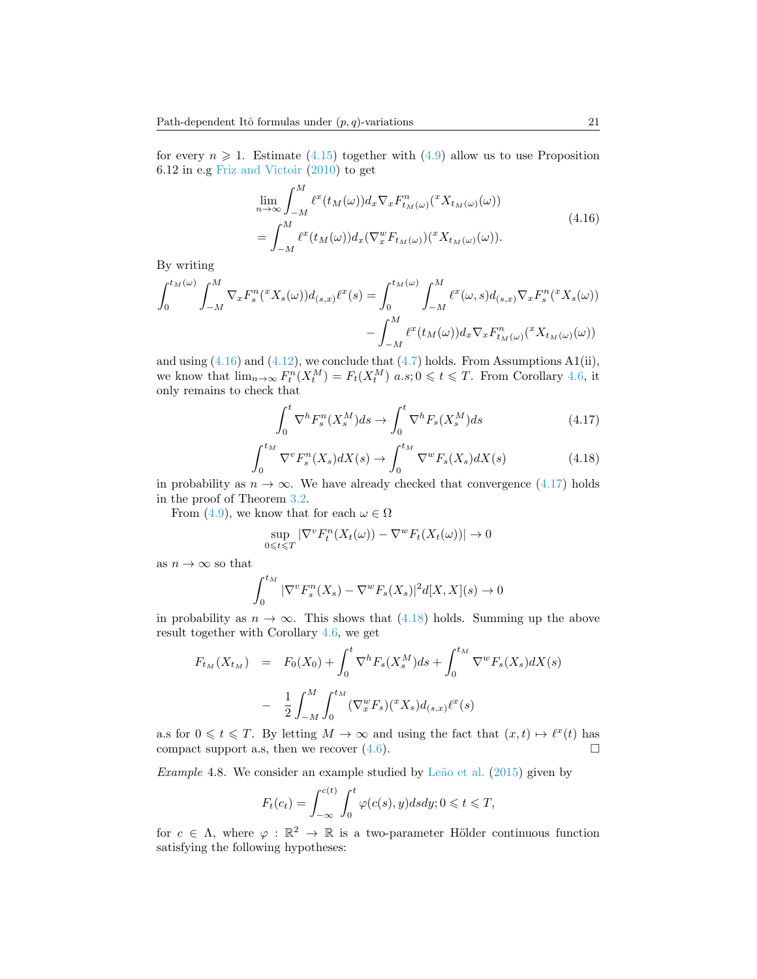for every  $n \geqslant 1$ . Estimate [\(4.15\)](#page-19-3) together with [\(4.9\)](#page-18-2) allow us to use Proposition 6.12 in e.g [Friz and Victoir](#page-29-7) [\(2010\)](#page-29-7) to get

$$
\lim_{n \to \infty} \int_{-M}^{M} \ell^{x}(t_{M}(\omega)) d_{x} \nabla_{x} F_{t_{M}(\omega)}^{n}(\ell^{x} X_{t_{M}(\omega)}(\omega))
$$
\n
$$
= \int_{-M}^{M} \ell^{x}(t_{M}(\omega)) d_{x} (\nabla_{x}^{w} F_{t_{M}(\omega)})(\ell^{x} X_{t_{M}(\omega)}(\omega)). \tag{4.16}
$$

<span id="page-20-0"></span>By writing

$$
\int_0^{t_M(\omega)} \int_{-M}^M \nabla_x F_s^n({}^x X_s(\omega)) d_{(s,x)} \ell^x(s) = \int_0^{t_M(\omega)} \int_{-M}^M \ell^x(\omega, s) d_{(s,x)} \nabla_x F_s^n({}^x X_s(\omega)) - \int_{-M}^M \ell^x (t_M(\omega)) d_x \nabla_x F_{t_M(\omega)}^n({}^x X_{t_M(\omega)}(\omega))
$$

and using  $(4.16)$  and  $(4.12)$ , we conclude that  $(4.7)$  holds. From Assumptions A1(ii), we know that  $\lim_{n\to\infty} F_t^n(X_t^M) = F_t(X_t^M)$   $a.s; 0 \leq t \leq T$ . From Corollary [4.6,](#page-17-1) it only remains to check that

<span id="page-20-1"></span>
$$
\int_0^t \nabla^h F_s^n(X_s^M) ds \to \int_0^t \nabla^h F_s(X_s^M) ds \tag{4.17}
$$

<span id="page-20-2"></span>
$$
\int_0^{t_M} \nabla^v F_s^n(X_s) dX(s) \to \int_0^{t_M} \nabla^w F_s(X_s) dX(s)
$$
\n(4.18)

in probability as  $n \to \infty$ . We have already checked that convergence [\(4.17\)](#page-20-1) holds in the proof of Theorem [3.2.](#page-11-0)

From [\(4.9\)](#page-18-2), we know that for each  $\omega \in \Omega$ 

$$
\sup_{0 \leq t \leq T} |\nabla^v F^n_t(X_t(\omega)) - \nabla^w F_t(X_t(\omega))| \to 0
$$

as  $n \to \infty$  so that

$$
\int_0^{t_M} |\nabla^v F_s^n(X_s) - \nabla^w F_s(X_s)|^2 d[X, X](s) \to 0
$$

in probability as  $n \to \infty$ . This shows that [\(4.18\)](#page-20-2) holds. Summing up the above result together with Corollary [4.6,](#page-17-1) we get

$$
F_{t_M}(X_{t_M}) = F_0(X_0) + \int_0^t \nabla^h F_s(X_s^M) ds + \int_0^{t_M} \nabla^w F_s(X_s) dX(s)
$$

$$
- \frac{1}{2} \int_{-M}^M \int_0^{t_M} (\nabla_x^w F_s)(^x X_s) d_{(s,x)} \ell^x(s)
$$

a.s for  $0 \leq t \leq T$ . By letting  $M \to \infty$  and using the fact that  $(x, t) \mapsto \ell^x(t)$  has compact support a.s, then we recover  $(4.6)$ .

<span id="page-20-3"></span>Example 4.8. We consider an example studied by Leão et al.  $(2015)$  given by

$$
F_t(c_t) = \int_{-\infty}^{c(t)} \int_0^t \varphi(c(s), y) ds dy; 0 \leq t \leq T,
$$

for  $c \in \Lambda$ , where  $\varphi : \mathbb{R}^2 \to \mathbb{R}$  is a two-parameter Hölder continuous function satisfying the following hypotheses: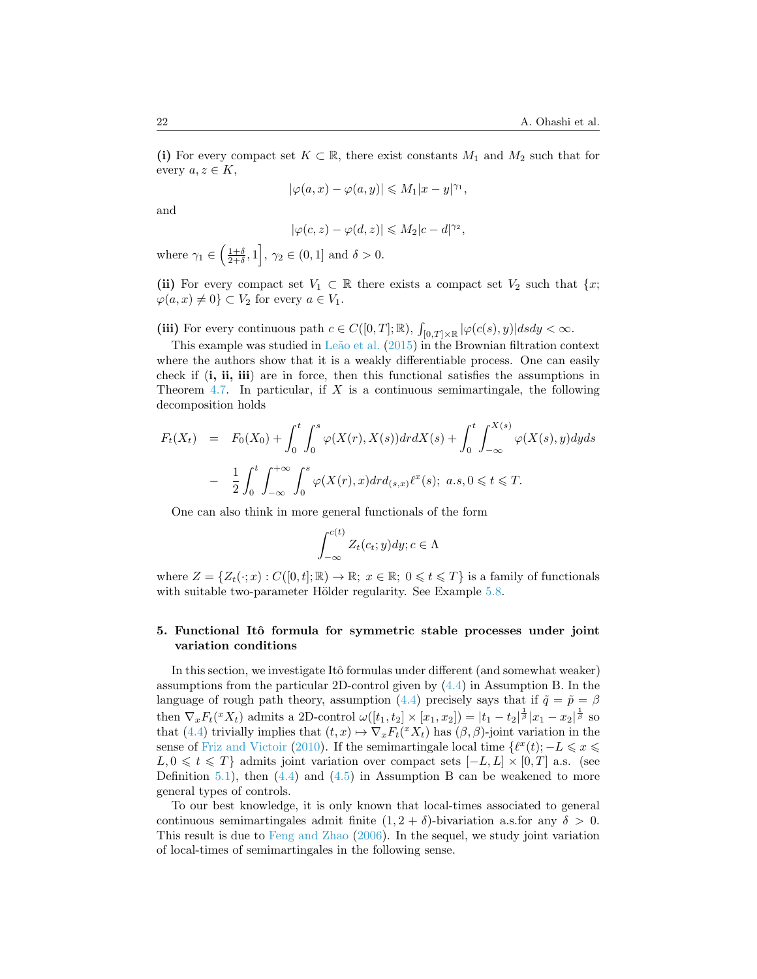(i) For every compact set  $K \subset \mathbb{R}$ , there exist constants  $M_1$  and  $M_2$  such that for every  $a, z \in K$ ,

$$
|\varphi(a,x) - \varphi(a,y)| \leq M_1 |x - y|^{\gamma_1},
$$

and

$$
|\varphi(c,z)-\varphi(d,z)|\leqslant M_2|c-d|^{\gamma_2},
$$

where  $\gamma_1 \in \left(\frac{1+\delta}{2+\delta}, 1\right], \gamma_2 \in (0,1]$  and  $\delta > 0$ .

(ii) For every compact set  $V_1 \subset \mathbb{R}$  there exists a compact set  $V_2$  such that  $\{x;$  $\varphi(a, x) \neq 0$   $\subset V_2$  for every  $a \in V_1$ .

(iii) For every continuous path  $c \in C([0,T];\mathbb{R})$ ,  $\int_{[0,T]\times\mathbb{R}} |\varphi(c(s),y)| ds dy < \infty$ .

This example was studied in Leão et al. [\(2015\)](#page-29-10) in the Brownian filtration context where the authors show that it is a weakly differentiable process. One can easily check if (i, ii, iii) are in force, then this functional satisfies the assumptions in Theorem [4.7.](#page-18-0) In particular, if  $X$  is a continuous semimartingale, the following decomposition holds

$$
F_t(X_t) = F_0(X_0) + \int_0^t \int_0^s \varphi(X(r), X(s)) dr dX(s) + \int_0^t \int_{-\infty}^{X(s)} \varphi(X(s), y) dy ds
$$
  

$$
- \frac{1}{2} \int_0^t \int_{-\infty}^{+\infty} \int_0^s \varphi(X(r), x) dr d_{(s,x)} \ell^x(s); \ a.s, 0 \le t \le T.
$$

One can also think in more general functionals of the form

$$
\int_{-\infty}^{c(t)} Z_t(c_t; y) dy; c \in \Lambda
$$

where  $Z = \{Z_t(\cdot; x) : C([0, t]; \mathbb{R}) \to \mathbb{R}; x \in \mathbb{R}; 0 \leq t \leq T\}$  is a family of functionals with suitable two-parameter Hölder regularity. See Example [5.8.](#page-27-0)

## <span id="page-21-0"></span>5. Functional Itô formula for symmetric stable processes under joint variation conditions

In this section, we investigate Itô formulas under different (and somewhat weaker) assumptions from the particular 2D-control given by [\(4.4\)](#page-17-2) in Assumption B. In the language of rough path theory, assumption [\(4.4\)](#page-17-2) precisely says that if  $\tilde{q} = \tilde{p} = \beta$ then  $\nabla_x F_t({}^x X_t)$  admits a 2D-control  $\omega([t_1, t_2] \times [x_1, x_2]) = |t_1 - t_2|^{\frac{1}{\beta}} |x_1 - x_2|^{\frac{1}{\beta}}$  so that [\(4.4\)](#page-17-2) trivially implies that  $(t, x) \mapsto \nabla_x F_t({}^x X_t)$  has  $(\beta, \beta)$ -joint variation in the sense of [Friz and Victoir](#page-29-7) [\(2010\)](#page-29-7). If the semimartingale local time  $\{ \ell^x(t) ; -L \leq x \leq \ell^x(t) \}$  $L, 0 \leq t \leq T$ } admits joint variation over compact sets  $[-L, L] \times [0, T]$  a.s. (see Definition [5.1\)](#page-22-0), then  $(4.4)$  and  $(4.5)$  in Assumption B can be weakened to more general types of controls.

To our best knowledge, it is only known that local-times associated to general continuous semimartingales admit finite  $(1, 2 + \delta)$ -bivariation a.s.for any  $\delta > 0$ . This result is due to [Feng and Zhao](#page-29-1) [\(2006\)](#page-29-1). In the sequel, we study joint variation of local-times of semimartingales in the following sense.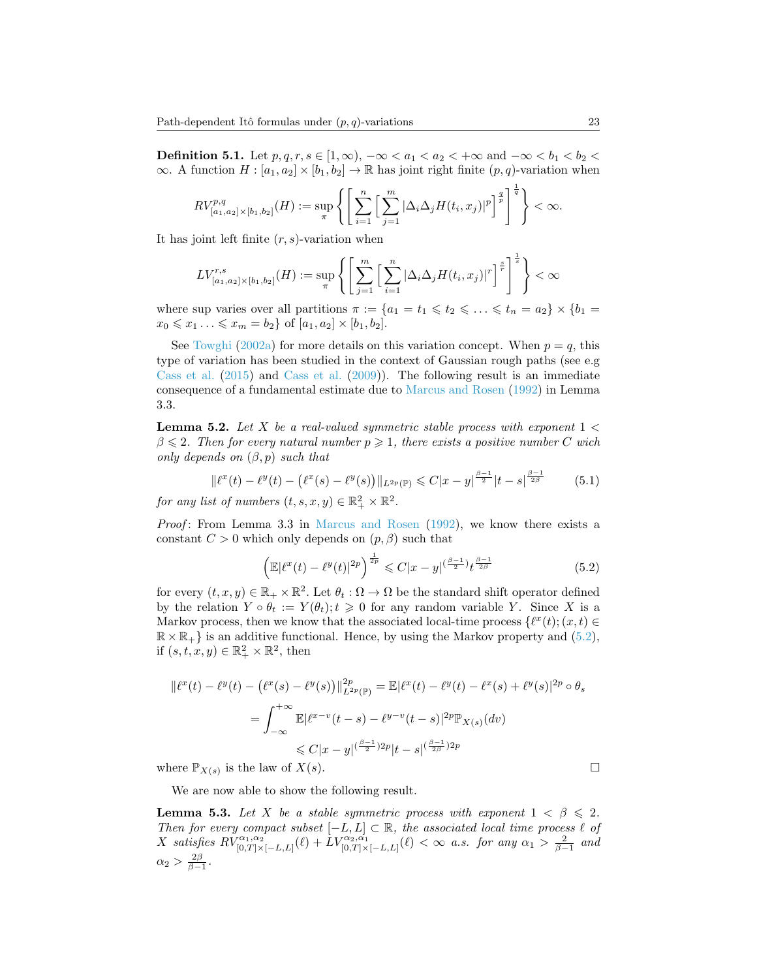<span id="page-22-0"></span>**Definition 5.1.** Let  $p, q, r, s \in [1, \infty)$ ,  $-\infty < a_1 < a_2 < +\infty$  and  $-\infty < b_1 < b_2 <$  $\infty$ . A function  $H : [a_1, a_2] \times [b_1, b_2] \to \mathbb{R}$  has joint right finite  $(p, q)$ -variation when

$$
RV_{[a_1,a_2]\times [b_1,b_2]}^{p,q}(H) := \sup_{\pi} \left\{ \left[ \sum_{i=1}^n \left[ \sum_{j=1}^m |\Delta_i \Delta_j H(t_i,x_j)|^p \right]^{\frac{q}{p}} \right]^{\frac{1}{q}} \right\} < \infty.
$$

It has joint left finite  $(r, s)$ -variation when

$$
LV_{[a_1,a_2]\times[b_1,b_2]}^{r,s}(H):=\sup_{\pi}\left\{\left[\sum_{j=1}^m\Big[\sum_{i=1}^n|\Delta_i\Delta_jH(t_i,x_j)|^r\Big]^{\frac{s}{r}}\right]^{\frac{1}{s}}\right\}<\infty
$$

where sup varies over all partitions  $\pi := \{a_1 = t_1 \leq t_2 \leq \ldots \leq t_n = a_2\} \times \{b_1 = a_2\}$  $x_0 \leq x_1 \ldots \leq x_m = b_2$  of  $[a_1, a_2] \times [b_1, b_2]$ .

See [Towghi](#page-29-18) [\(2002a\)](#page-29-18) for more details on this variation concept. When  $p = q$ , this type of variation has been studied in the context of Gaussian rough paths (see e.g [Cass et al.](#page-28-6) [\(2015\)](#page-28-6) and [Cass et al.](#page-28-7) [\(2009\)](#page-28-7)). The following result is an immediate consequence of a fundamental estimate due to [Marcus and Rosen](#page-29-19) [\(1992\)](#page-29-19) in Lemma 3.3.

<span id="page-22-2"></span>**Lemma 5.2.** Let X be a real-valued symmetric stable process with exponent  $1 <$  $\beta \leq 2$ . Then for every natural number  $p \geq 1$ , there exists a positive number C wich only depends on  $(\beta, p)$  such that

$$
\|\ell^x(t) - \ell^y(t) - \left(\ell^x(s) - \ell^y(s)\right)\|_{L^{2p}(\mathbb{P})} \leq C|x - y|^{\frac{\beta - 1}{2}}|t - s|^{\frac{\beta - 1}{2\beta}} \tag{5.1}
$$

for any list of numbers  $(t, s, x, y) \in \mathbb{R}_+^2 \times \mathbb{R}^2$ .

Proof: From Lemma 3.3 in [Marcus and Rosen](#page-29-19) [\(1992\)](#page-29-19), we know there exists a constant  $C > 0$  which only depends on  $(p, \beta)$  such that

<span id="page-22-1"></span>
$$
\left(\mathbb{E}|\ell^x(t) - \ell^y(t)|^{2p}\right)^{\frac{1}{2p}} \leq C|x - y|^{(\frac{\beta - 1}{2})}t^{\frac{\beta - 1}{2\beta}}\tag{5.2}
$$

for every  $(t, x, y) \in \mathbb{R}_+ \times \mathbb{R}^2$ . Let  $\theta_t : \Omega \to \Omega$  be the standard shift operator defined by the relation  $Y \circ \theta_t := Y(\theta_t); t \geq 0$  for any random variable Y. Since X is a Markov process, then we know that the associated local-time process  $\{\ell^x(t); (x, t) \in$  $\mathbb{R} \times \mathbb{R}_+$  is an additive functional. Hence, by using the Markov property and  $(5.2)$ , if  $(s, t, x, y) \in \mathbb{R}_+^2 \times \mathbb{R}^2$ , then

$$
\begin{aligned} \|\ell^x(t) - \ell^y(t) - (\ell^x(s) - \ell^y(s))\|_{L^{2p}(\mathbb{P})}^{2p} &= \mathbb{E}|\ell^x(t) - \ell^y(t) - \ell^x(s) + \ell^y(s)|^{2p} \circ \theta_s \\ &= \int_{-\infty}^{+\infty} \mathbb{E}|\ell^{x-v}(t-s) - \ell^{y-v}(t-s)|^{2p} \mathbb{P}_{X(s)}(dv) \\ &\leq C|x-y|^{(\frac{\beta-1}{2})2p}|t-s|^{(\frac{\beta-1}{2\beta})2p} \end{aligned}
$$

where  $\mathbb{P}_{X(s)}$  is the law of  $X(s)$ .

We are now able to show the following result.

<span id="page-22-3"></span>**Lemma 5.3.** Let X be a stable symmetric process with exponent  $1 < \beta \leq 2$ . Then for every compact subset  $[-L, L] \subset \mathbb{R}$ , the associated local time process  $\ell$  of X satisfies  $RV_{[0,T]\times[-L,L]}^{\alpha_1,\alpha_2}(\ell) + LV_{[0,T]\times[-L,L]}^{\alpha_2,\alpha_1}(\ell) < \infty$  a.s. for any  $\alpha_1 > \frac{2}{\beta-1}$  and  $\alpha_2 > \frac{2\beta}{\beta-1}.$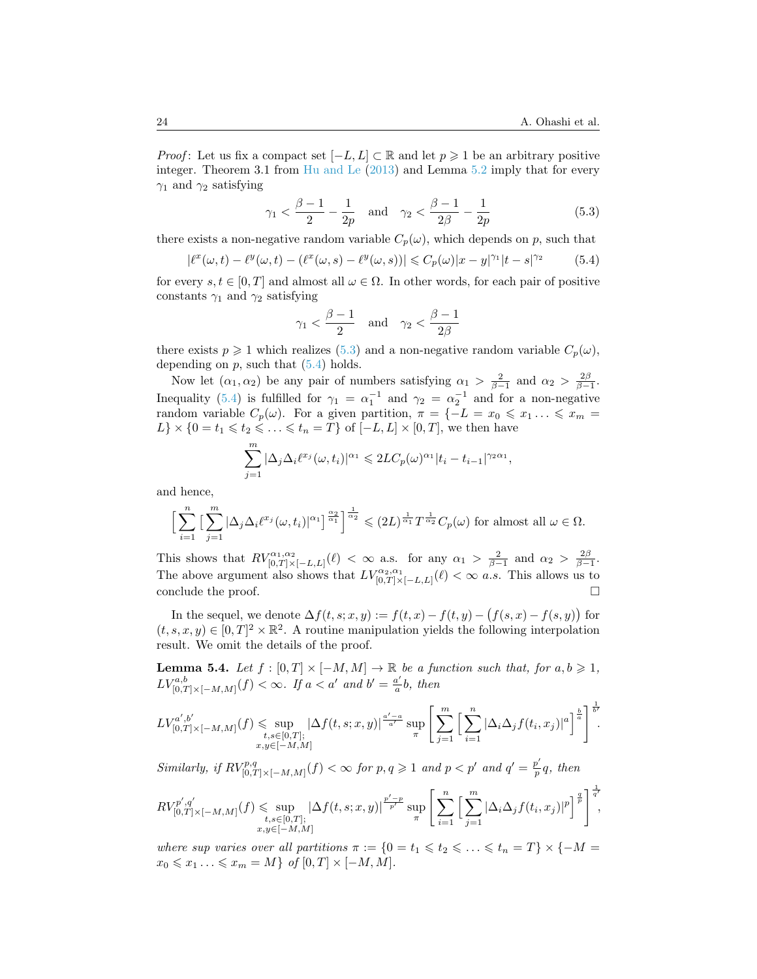*Proof*: Let us fix a compact set  $[-L, L] \subset \mathbb{R}$  and let  $p \geq 1$  be an arbitrary positive integer. Theorem 3.1 from [Hu and Le](#page-29-20) [\(2013\)](#page-29-20) and Lemma [5.2](#page-22-2) imply that for every  $\gamma_1$  and  $\gamma_2$  satisfying

$$
\gamma_1 < \frac{\beta - 1}{2} - \frac{1}{2p}
$$
 and  $\gamma_2 < \frac{\beta - 1}{2\beta} - \frac{1}{2p}$  (5.3)

there exists a non-negative random variable  $C_p(\omega)$ , which depends on p, such that

$$
|\ell^x(\omega, t) - \ell^y(\omega, t) - (\ell^x(\omega, s) - \ell^y(\omega, s))| \leq C_p(\omega)|x - y|^{\gamma_1}|t - s|^{\gamma_2}
$$
 (5.4)

for every  $s, t \in [0, T]$  and almost all  $\omega \in \Omega$ . In other words, for each pair of positive constants  $\gamma_1$  and  $\gamma_2$  satisfying

<span id="page-23-1"></span><span id="page-23-0"></span>
$$
\gamma_1 < \frac{\beta - 1}{2} \quad \text{and} \quad \gamma_2 < \frac{\beta - 1}{2\beta}
$$

there exists  $p \ge 1$  which realizes [\(5.3\)](#page-23-0) and a non-negative random variable  $C_p(\omega)$ , depending on  $p$ , such that  $(5.4)$  holds.

Now let  $(\alpha_1, \alpha_2)$  be any pair of numbers satisfying  $\alpha_1 > \frac{2}{\beta - 1}$  and  $\alpha_2 > \frac{2\beta}{\beta - 1}$ . Inequality [\(5.4\)](#page-23-1) is fulfilled for  $\gamma_1 = \alpha_1^{-1}$  and  $\gamma_2 = \alpha_2^{-1}$  and for a non-negative random variable  $C_p(\omega)$ . For a given partition,  $\pi = \{-L = x_0 \leq x_1 \dots \leq x_m =$  $L$ } × {0 =  $t_1 \leq t_2 \leq \ldots \leq t_n = T$ } of  $[-L, L] \times [0, T]$ , we then have

$$
\sum_{j=1}^m |\Delta_j \Delta_i \ell^{x_j}(\omega, t_i)|^{\alpha_1} \leq 2LC_p(\omega)^{\alpha_1} |t_i - t_{i-1}|^{\gamma_2 \alpha_1},
$$

and hence,

$$
\Big[\sum_{i=1}^n\big[\sum_{j=1}^m |\Delta_j\Delta_i\ell^{x_j}(\omega,t_i)|^{\alpha_1}\big]^{\frac{\alpha_2}{\alpha_1}}\Big]^{\frac{1}{\alpha_2}} \leq (2L)^{\frac{1}{\alpha_1}}T^{\frac{1}{\alpha_2}}C_p(\omega) \text{ for almost all } \omega \in \Omega.
$$

This shows that  $RV^{\alpha_1,\alpha_2}_{[0,T]\times[-L,L]}(\ell) < \infty$  a.s. for any  $\alpha_1 > \frac{2}{\beta-1}$  and  $\alpha_2 > \frac{2\beta}{\beta-1}$ . The above argument also shows that  $LV_{[0,T]\times[-L,L]}^{a_2,a_1}(\ell) < \infty$  *a.s.* This allows us to conclude the proof.  $\Box$ 

In the sequel, we denote  $\Delta f(t, s; x, y) := f(t, x) - f(t, y) - (f(s, x) - f(s, y))$  for  $(t, s, x, y) \in [0, T]^2 \times \mathbb{R}^2$ . A routine manipulation yields the following interpolation result. We omit the details of the proof.

<span id="page-23-2"></span>**Lemma 5.4.** Let  $f : [0, T] \times [-M, M] \to \mathbb{R}$  be a function such that, for  $a, b \geq 1$ ,  $LV_{[0,T]\times[-M,M]}^{a,b}(f) < \infty$ . If  $a < a'$  and  $b' = \frac{a'}{a}$  $\frac{a'}{a}b$ , then

$$
LV_{[0,T]\times[-M,M]}^{a',b'}(f) \leq \sup_{\substack{t,s\in[0,T];\\x,y\in[-M,M]}}|\Delta f(t,s;x,y)|^{\frac{a'-a}{a'}}\sup_{\pi}\left[\sum_{j=1}^m\left[\sum_{i=1}^n|\Delta_i\Delta_j f(t_i,x_j)|^a\right]^{\frac{b}{a}}\right]^{\frac{1}{b'}}
$$

Similarly, if  $RV^{p,q}_{[0,T]\times[-M,M]}(f) < \infty$  for  $p,q \geqslant 1$  and  $p < p'$  and  $q' = \frac{p'}{p}$  $\frac{p}{p}q$ , then

$$
RV_{[0,T]\times[-M,M]}^{p',q'}(f) \leq \sup_{\substack{t,s\in[0,T];\\x,y\in[-M,M]}} |\Delta f(t,s;x,y)|^{\frac{p'-p}{p'}} \sup_{\pi} \left[ \sum_{i=1}^n \left[ \sum_{j=1}^m |\Delta_i \Delta_j f(t_i,x_j)|^p \right]^{\frac{q}{p}} \right]^{\frac{1}{q'}}
$$

where sup varies over all partitions  $\pi := \{0 = t_1 \leq t_2 \leq \ldots \leq t_n = T\} \times \{-M =$  $x_0 \leq x_1 \ldots \leq x_m = M$  of  $[0, T] \times [-M, M]$ .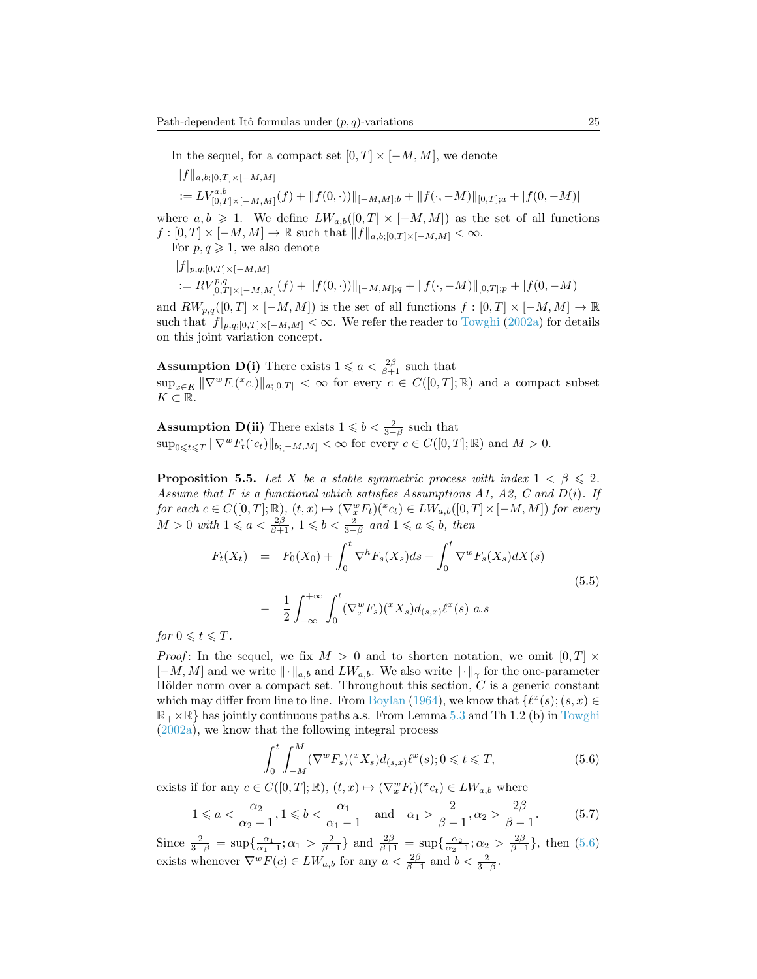In the sequel, for a compact set  $[0, T] \times [-M, M]$ , we denote

 $||f||_{a,b;[0,T]\times[-M,M]}$ 

$$
:= LV^{a,b}_{[0,T] \times [-M,M]}(f) + ||f(0, \cdot))||_{[-M,M];b} + ||f(\cdot, -M)||_{[0,T];a} + |f(0, -M)|
$$

where  $a, b \geq 1$ . We define  $LW_{a,b}([0,T] \times [-M,M])$  as the set of all functions  $f : [0, T] \times [-M, M] \rightarrow \mathbb{R}$  such that  $||f||_{a,b:[0,T] \times [-M,M]} < \infty$ .

For  $p, q \geq 1$ , we also denote

$$
||f|_{p,q;[0,T]\times[-M,M]}
$$
  
:=  $RV_{[0,T]\times[-M,M]}^{p,q}(f) + ||f(0,\cdot))||_{[-M,M];q} + ||f(\cdot,-M)||_{[0,T];p} + |f(0,-M)|$ 

and  $RW_{p,q}([0,T] \times [-M,M])$  is the set of all functions  $f : [0,T] \times [-M,M] \to \mathbb{R}$ such that  $|f|_{p,q;[0,T]\times[-M,M]}<\infty$ . We refer the reader to [Towghi](#page-29-18) [\(2002a\)](#page-29-18) for details on this joint variation concept.

**Assumption D(i)** There exists  $1 \leq a < \frac{2\beta}{\beta+1}$  such that

 $\sup_{x \in K} \|\nabla^w F(x) \|_{a;[0,T]} < \infty$  for every  $c \in C([0,T];\mathbb{R})$  and a compact subset  $K \subset \mathbb{R}$ .

**Assumption D(ii)** There exists  $1 \leq b < \frac{2}{3-\beta}$  such that  $\sup_{0\leqslant t\leqslant T}\|\nabla^w F_t(\cdot c_t)\|_{b;[-M,M]}<\infty$  for every  $c\in C([0,T];\mathbb{R})$  and  $M>0$ .

<span id="page-24-0"></span>**Proposition 5.5.** Let X be a stable symmetric process with index  $1 < \beta \le 2$ . Assume that F is a functional which satisfies Assumptions A1, A2, C and  $D(i)$ . If for each  $c \in C([0,T];\mathbb{R})$ ,  $(t,x) \mapsto (\nabla_x^w F_t)(x_c) \in LW_{a,b}([0,T] \times [-M,M])$  for every  $M > 0$  with  $1 \leq a < \frac{2\beta}{\beta+1}$ ,  $1 \leq b < \frac{2}{3-\beta}$  and  $1 \leq a \leq b$ , then

<span id="page-24-2"></span>
$$
F_t(X_t) = F_0(X_0) + \int_0^t \nabla^h F_s(X_s) ds + \int_0^t \nabla^w F_s(X_s) dX(s)
$$
  

$$
- \frac{1}{2} \int_{-\infty}^{+\infty} \int_0^t (\nabla_x^w F_s)(^x X_s) d_{(s,x)} \ell^x(s) a.s
$$
 (5.5)

for  $0 \leqslant t \leqslant T$ .

*Proof*: In the sequel, we fix  $M > 0$  and to shorten notation, we omit  $[0, T] \times$  $[-M, M]$  and we write  $\|\cdot\|_{a,b}$  and  $LW_{a,b}$ . We also write  $\|\cdot\|_{\gamma}$  for the one-parameter Hölder norm over a compact set. Throughout this section,  $C$  is a generic constant which may differ from line to line. From [Boylan](#page-28-8) [\(1964\)](#page-28-8), we know that  $\{\ell^x(s); (s, x) \in$  $\mathbb{R}_+ \times \mathbb{R}$  has jointly continuous paths a.s. From Lemma [5.3](#page-22-3) and Th 1.2 (b) in [Towghi](#page-29-18) [\(2002a\)](#page-29-18), we know that the following integral process

<span id="page-24-1"></span>
$$
\int_0^t \int_{-M}^M (\nabla^w F_s)(^x X_s) d_{(s,x)} \ell^x(s); 0 \leq t \leq T,
$$
\n(5.6)

exists if for any  $c \in C([0,T];\mathbb{R})$ ,  $(t,x) \mapsto (\nabla_x^w F_t)(x_c_t) \in LW_{a,b}$  where

$$
1 \leqslant a < \frac{\alpha_2}{\alpha_2 - 1}, 1 \leqslant b < \frac{\alpha_1}{\alpha_1 - 1} \quad \text{and} \quad \alpha_1 > \frac{2}{\beta - 1}, \alpha_2 > \frac{2\beta}{\beta - 1}.\tag{5.7}
$$

Since  $\frac{2}{3-\beta} = \sup\{\frac{\alpha_1}{\alpha_1 - 1}; \alpha_1 > \frac{2}{\beta - 1}\}\$ and  $\frac{2\beta}{\beta + 1} = \sup\{\frac{\alpha_2}{\alpha_2 - 1}; \alpha_2 > \frac{2\beta}{\beta - 1}\}\$ , then [\(5.6\)](#page-24-1) exists whenever  $\nabla^w F(c) \in LW_{a,b}$  for any  $a < \frac{2\beta}{\beta+1}$  and  $b < \frac{2}{3-\beta}$ .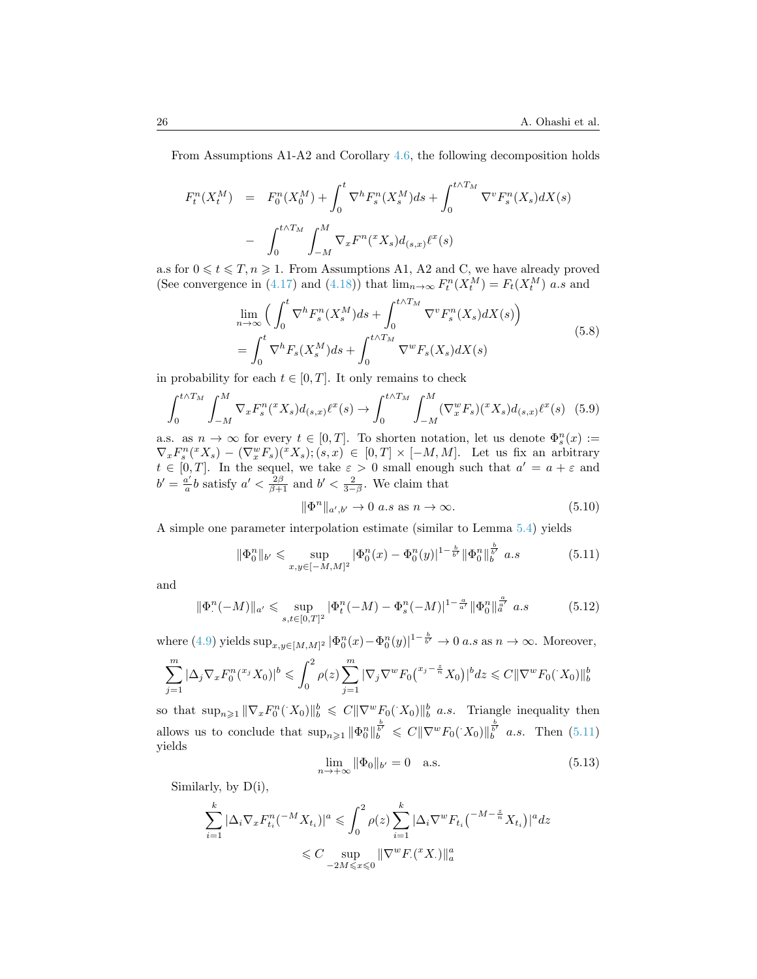From Assumptions A1-A2 and Corollary [4.6,](#page-17-1) the following decomposition holds

$$
F_t^n(X_t^M) = F_0^n(X_0^M) + \int_0^t \nabla^h F_s^n(X_s^M) ds + \int_0^{t \wedge T_M} \nabla^v F_s^n(X_s) dX(s)
$$
  
- 
$$
\int_0^{t \wedge T_M} \int_{-M}^M \nabla_x F^n({}^x X_s) d_{(s,x)} \ell^x(s)
$$

a.s for  $0 \leq t \leq T, n \geq 1$ . From Assumptions A1, A2 and C, we have already proved (See convergence in [\(4.17\)](#page-20-1) and [\(4.18\)](#page-20-2)) that  $\lim_{n\to\infty} F_t^n(X_t^M) = F_t(X_t^M)$  a.s and

$$
\lim_{n \to \infty} \left( \int_0^t \nabla^h F_s^n(X_s^M) ds + \int_0^{t \wedge T_M} \nabla^v F_s^n(X_s) dX(s) \right)
$$
\n
$$
= \int_0^t \nabla^h F_s(X_s^M) ds + \int_0^{t \wedge T_M} \nabla^w F_s(X_s) dX(s)
$$
\n(5.8)

in probability for each  $t \in [0, T]$ . It only remains to check

$$
\int_0^{t \wedge T_M} \int_{-M}^M \nabla_x F_s^n({}^x X_s) d_{(s,x)} \ell^x(s) \to \int_0^{t \wedge T_M} \int_{-M}^M (\nabla_x^w F_s) ({}^x X_s) d_{(s,x)} \ell^x(s) \tag{5.9}
$$

a.s. as  $n \to \infty$  for every  $t \in [0,T]$ . To shorten notation, let us denote  $\Phi_s^n(x) :=$  $\nabla_x F_s^n({}^x X_s) - (\nabla_x^w F_s)({}^x X_s); (s, x) \in [0, T] \times [-M, M].$  Let us fix an arbitrary  $t \in [0,T]$ . In the sequel, we take  $\varepsilon > 0$  small enough such that  $a' = a + \varepsilon$  and  $b'=\frac{a'}{a}$  $\frac{a'}{a}$ *b* satisfy  $a' < \frac{2\beta}{\beta+1}$  and  $b' < \frac{2}{3-\beta}$ . We claim that

<span id="page-25-3"></span>
$$
\|\Phi^n\|_{a',b'} \to 0 \text{ a.s as } n \to \infty. \tag{5.10}
$$

A simple one parameter interpolation estimate (similar to Lemma [5.4\)](#page-23-2) yields

<span id="page-25-0"></span>
$$
\|\Phi_0^n\|_{b'} \leq \sup_{x,y \in [-M,M]^2} |\Phi_0^n(x) - \Phi_0^n(y)|^{1-\frac{b}{b'}} \|\Phi_0^n\|_{b}^{\frac{b}{b'}} a.s
$$
\n(5.11)

and

<span id="page-25-1"></span>
$$
\|\Phi^n_*(-M)\|_{a'} \leq \sup_{s,t \in [0,T]^2} |\Phi^n_t(-M) - \Phi^n_s(-M)|^{1-\frac{a}{a'}} \|\Phi^n_0\|_{a'}^{\frac{a}{a'}} a.s
$$
\n(5.12)

where [\(4.9\)](#page-18-2) yields  $\sup_{x,y\in[M,M]^2} |\Phi_0^n(x)-\Phi_0^n(y)|^{1-\frac{b}{b'}} \to 0$  a.s as  $n\to\infty$ . Moreover,

$$
\sum_{j=1}^{m} |\Delta_j \nabla_x F_0^n({}^{x_j} X_0)|^b \leq \int_0^2 \rho(z) \sum_{j=1}^{m} |\nabla_j \nabla^w F_0({}^{x_j - \frac{z}{n}} X_0)|^b dz \leq C ||\nabla^w F_0(X_0)||_b^b
$$

so that  $\sup_{n\geq 1} \|\nabla_x F_0^n(X_0)\|_b^b \leq C \|\nabla^w F_0(X_0)\|_b^b$  *a.s.* Triangle inequality then allows us to conclude that  $\sup_{n\geq 1} \|\Phi_0^n\|_b^{\frac{b}{b'}} \leq C \|\nabla^w F_0(X_0)\|_b^{\frac{b}{b'}}$  a.s. Then [\(5.11\)](#page-25-0) yields

<span id="page-25-2"></span>
$$
\lim_{n \to +\infty} \|\Phi_0\|_{b'} = 0 \quad \text{a.s.} \tag{5.13}
$$

Similarly, by D(i),

$$
\sum_{i=1}^k |\Delta_i \nabla_x F_{t_i}^n(^{-M} X_{t_i})|^a \leqslant \int_0^2 \rho(z) \sum_{i=1}^k |\Delta_i \nabla^w F_{t_i}|^{-M - \frac{z}{n}} X_{t_i})|^a dz
$$
  

$$
\leqslant C \sup_{-2M \leqslant x \leqslant 0} \|\nabla^w F_{\cdot}(xX_{\cdot})\|_a^a
$$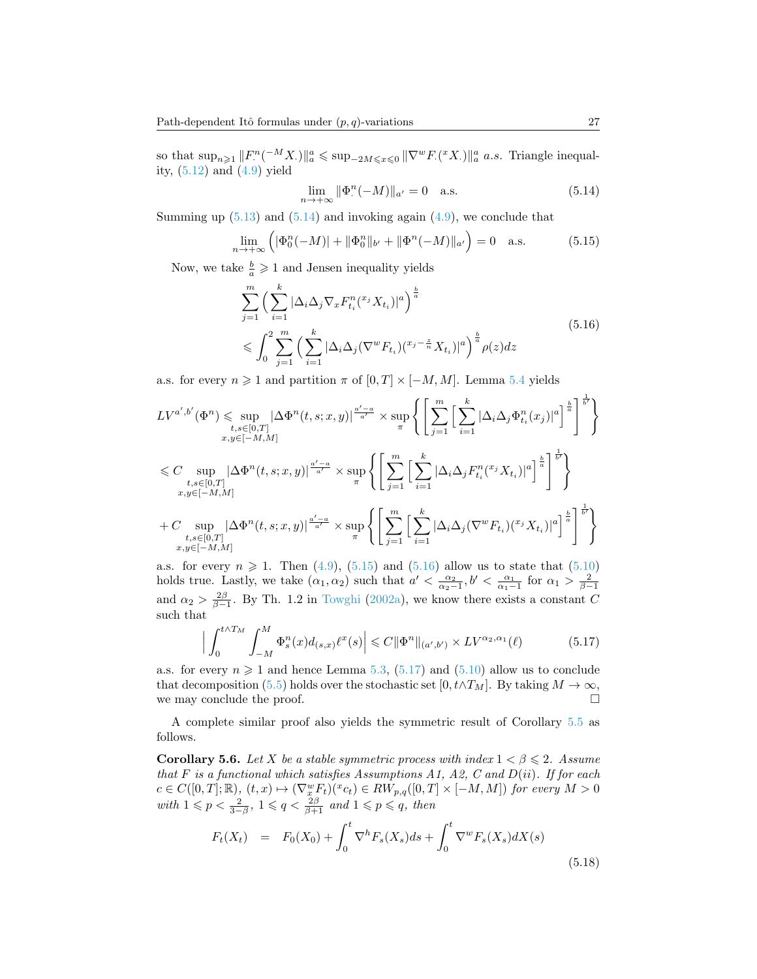so that  $\sup_{n\geqslant1}\|F^n_\cdot({}^{-M}X_\cdot)\|^a_a\leqslant \sup_{-2M\leqslant x\leqslant0}\|\nabla^wF_\cdot({}^xX_\cdot)\|^a_a$  a.s. Triangle inequality, [\(5.12\)](#page-25-1) and [\(4.9\)](#page-18-2) yield

<span id="page-26-0"></span>
$$
\lim_{n \to +\infty} \|\Phi^n(-M)\|_{a'} = 0 \quad \text{a.s.} \tag{5.14}
$$

Summing up  $(5.13)$  and  $(5.14)$  and invoking again  $(4.9)$ , we conclude that

<span id="page-26-1"></span>
$$
\lim_{n \to +\infty} \left( |\Phi_0^n(-M)| + ||\Phi_0^n||_{b'} + ||\Phi^n(-M)||_{a'} \right) = 0 \quad \text{a.s.} \tag{5.15}
$$

<span id="page-26-2"></span>Now, we take  $\frac{b}{a} \geq 1$  and Jensen inequality yields

$$
\sum_{j=1}^{m} \left( \sum_{i=1}^{k} |\Delta_i \Delta_j \nabla_x F_{t_i}^n (x_j X_{t_i})|^a \right)^{\frac{b}{a}}
$$
\n
$$
\leqslant \int_0^2 \sum_{j=1}^{m} \left( \sum_{i=1}^{k} |\Delta_i \Delta_j (\nabla^w F_{t_i}) (x_j - \frac{z}{n} X_{t_i})|^a \right)^{\frac{b}{a}} \rho(z) dz
$$
\n(5.16)

a.s. for every  $n \geq 1$  and partition  $\pi$  of  $[0, T] \times [-M, M]$ . Lemma [5.4](#page-23-2) yields

$$
LV^{a',b'}(\Phi^n) \leq \sup_{\substack{t,s \in [0,T] \\ x,y \in [-M,M]}} |\Delta \Phi^n(t,s;x,y)|^{\frac{a'-a}{a'}} \times \sup_{\pi} \left\{ \left[ \sum_{j=1}^m \left[ \sum_{i=1}^k |\Delta_i \Delta_j \Phi^n_{t_i}(x_j)|^a \right]^{\frac{b}{a}} \right]^{\frac{1}{b'}} \right\}
$$
  

$$
\leq C \sup_{\substack{t,s \in [0,T] \\ x,y \in [-M,M]}} |\Delta \Phi^n(t,s;x,y)|^{\frac{a'-a}{a'}} \times \sup_{\pi} \left\{ \left[ \sum_{j=1}^m \left[ \sum_{i=1}^k |\Delta_i \Delta_j F^n_{t_i}(x_j X_{t_i})|^a \right]^{\frac{b}{a}} \right]^{\frac{1}{b'}} \right\}
$$
  
+ 
$$
C \sup_{\substack{t,s \in [0,T] \\ x,y \in [-M,M]}} |\Delta \Phi^n(t,s;x,y)|^{\frac{a'-a}{a'}} \times \sup_{\pi} \left\{ \left[ \sum_{j=1}^m \left[ \sum_{i=1}^k |\Delta_i \Delta_j (\nabla^w F_{t_i}) (x_j X_{t_i})|^a \right]^{\frac{b}{a}} \right]^{\frac{1}{b'}} \right\}
$$

a.s. for every  $n \ge 1$ . Then [\(4.9\)](#page-18-2), [\(5.15\)](#page-26-1) and [\(5.16\)](#page-26-2) allow us to state that [\(5.10\)](#page-25-3) holds true. Lastly, we take  $(\alpha_1, \alpha_2)$  such that  $a' < \frac{\alpha_2}{\alpha_2-1}, b' < \frac{\alpha_1}{\alpha_1-1}$  for  $\alpha_1 > \frac{2}{\beta-1}$ and  $\alpha_2 > \frac{2\beta}{\beta-1}$ . By Th. 1.2 in [Towghi](#page-29-18) [\(2002a\)](#page-29-18), we know there exists a constant C such that

<span id="page-26-3"></span>
$$
\left| \int_0^{t \wedge T_M} \int_{-M}^M \Phi_s^n(x) d_{(s,x)} \ell^x(s) \right| \leq C \|\Phi^n\|_{(a',b')} \times LV^{\alpha_2, \alpha_1}(\ell)
$$
 (5.17)

a.s. for every  $n \geqslant 1$  and hence Lemma [5.3,](#page-22-3) [\(5.17\)](#page-26-3) and [\(5.10\)](#page-25-3) allow us to conclude that decomposition [\(5.5\)](#page-24-2) holds over the stochastic set [0,  $t \wedge T_M$ ]. By taking  $M \to \infty$ , we may conclude the proof.  $\hfill \square$ 

A complete similar proof also yields the symmetric result of Corollary [5.5](#page-24-0) as follows.

<span id="page-26-5"></span>**Corollary 5.6.** Let X be a stable symmetric process with index  $1 < \beta \leq 2$ . Assume that F is a functional which satisfies Assumptions A1, A2, C and  $D(ii)$ . If for each  $c \in C([0, T]; \mathbb{R}), (t, x) \mapsto (\nabla_x^w F_t)(x_c) \in RW_{p,q}([0, T] \times [-M, M])$  for every  $M > 0$ with  $1 \leqslant p < \frac{2}{3-\beta}$ ,  $1 \leqslant q < \frac{2\beta}{\beta+1}$  and  $1 \leqslant p \leqslant q$ , then

<span id="page-26-4"></span>
$$
F_t(X_t) = F_0(X_0) + \int_0^t \nabla^h F_s(X_s) ds + \int_0^t \nabla^w F_s(X_s) dX(s)
$$
\n(5.18)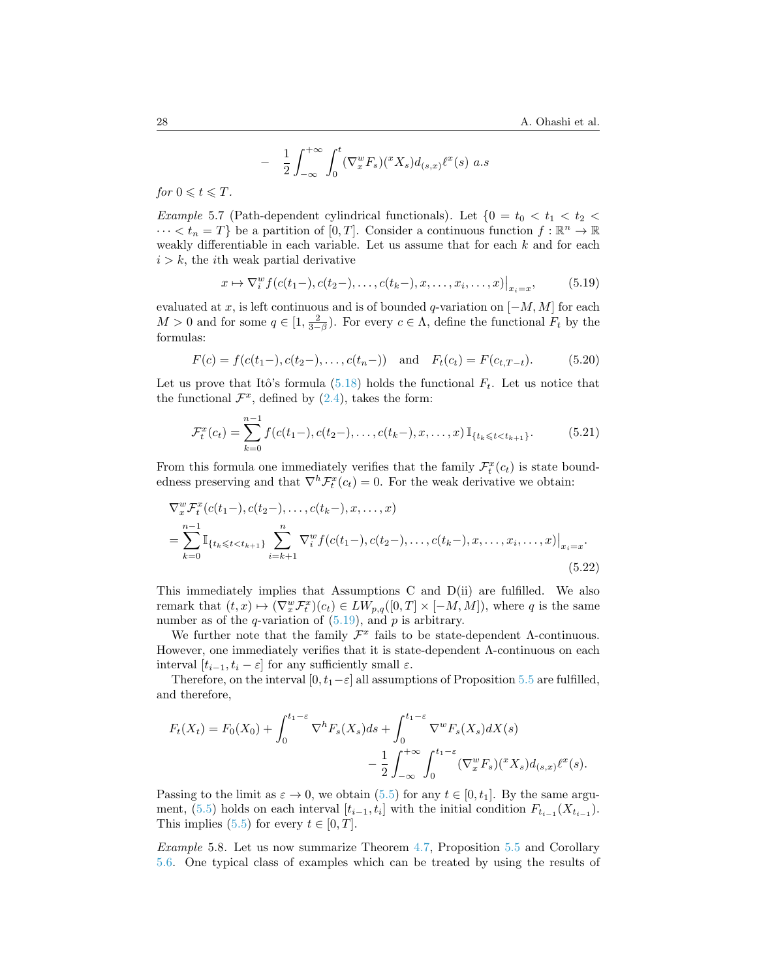<span id="page-27-1"></span>
$$
\frac{1}{2} \int_{-\infty}^{+\infty} \int_0^t (\nabla_x^w F_s)(^x X_s) d_{(s,x)} \ell^x(s) \ a.s
$$

for  $0 \leq t \leq T$ .

−

*Example* 5.7 (Path-dependent cylindrical functionals). Let  $\{0 = t_0 < t_1 < t_2 <$  $\cdots < t_n = T$  be a partition of  $[0, T]$ . Consider a continuous function  $f : \mathbb{R}^n \to \mathbb{R}$ weakly differentiable in each variable. Let us assume that for each  $k$  and for each  $i > k$ , the *i*th weak partial derivative

$$
x \mapsto \nabla_i^w f(c(t_1-), c(t_2-), \dots, c(t_k-), x, \dots, x_i, \dots, x)|_{x_i=x},
$$
 (5.19)

evaluated at x, is left continuous and is of bounded q-variation on  $[-M, M]$  for each  $M > 0$  and for some  $q \in [1, \frac{2}{3-\beta})$ . For every  $c \in \Lambda$ , define the functional  $F_t$  by the formulas:

$$
F(c) = f(c(t_1-), c(t_2-), \dots, c(t_n-)) \text{ and } F_t(c_t) = F(c_{t,T-t}).
$$
 (5.20)

Let us prove that Itô's formula  $(5.18)$  holds the functional  $F_t$ . Let us notice that the functional  $\mathcal{F}^x$ , defined by [\(2.4\)](#page-6-1), takes the form:

$$
\mathcal{F}_t^x(c_t) = \sum_{k=0}^{n-1} f(c(t_1-), c(t_2-), \dots, c(t_k-), x, \dots, x) \mathbb{I}_{\{t_k \leq t < t_{k+1}\}}.
$$
\n
$$
(5.21)
$$

From this formula one immediately verifies that the family  $\mathcal{F}_t^x(c_t)$  is state boundedness preserving and that  $\nabla^h \mathcal{F}_t^x(c_t) = 0$ . For the weak derivative we obtain:

$$
\nabla_x^w \mathcal{F}_t^x(c(t_1-), c(t_2-), \dots, c(t_k-), x, \dots, x)
$$
\n
$$
= \sum_{k=0}^{n-1} \mathbb{I}_{\{t_k \le t < t_{k+1}\}} \sum_{i=k+1}^n \nabla_i^w f(c(t_1-), c(t_2-), \dots, c(t_k-), x, \dots, x_i, \dots, x)|_{x_i=x}.
$$
\n(5.22)

This immediately implies that Assumptions C and D(ii) are fulfilled. We also remark that  $(t, x) \mapsto (\nabla_x^w \mathcal{F}_t^x)(c_t) \in LW_{p,q}([0, T] \times [-M, M]),$  where q is the same number as of the q-variation of  $(5.19)$ , and p is arbitrary.

We further note that the family  $\mathcal{F}^x$  fails to be state-dependent  $\Lambda$ -continuous. However, one immediately verifies that it is state-dependent Λ-continuous on each interval  $[t_{i-1}, t_i - \varepsilon]$  for any sufficiently small  $\varepsilon$ .

Therefore, on the interval  $[0, t_1-\varepsilon]$  all assumptions of Proposition [5.5](#page-24-0) are fulfilled, and therefore,

$$
F_t(X_t) = F_0(X_0) + \int_0^{t_1-\varepsilon} \nabla^h F_s(X_s) ds + \int_0^{t_1-\varepsilon} \nabla^w F_s(X_s) dX(s)
$$

$$
- \frac{1}{2} \int_{-\infty}^{+\infty} \int_0^{t_1-\varepsilon} (\nabla_x^w F_s) (^x X_s) d_{(s,x)} \ell^x(s).
$$

Passing to the limit as  $\varepsilon \to 0$ , we obtain [\(5.5\)](#page-24-2) for any  $t \in [0, t_1]$ . By the same argu-ment, [\(5.5\)](#page-24-2) holds on each interval  $[t_{i-1}, t_i]$  with the initial condition  $F_{t_{i-1}}(X_{t_{i-1}})$ . This implies [\(5.5\)](#page-24-2) for every  $t \in [0, T]$ .

<span id="page-27-0"></span>Example 5.8. Let us now summarize Theorem [4.7,](#page-18-0) Proposition [5.5](#page-24-0) and Corollary [5.6.](#page-26-5) One typical class of examples which can be treated by using the results of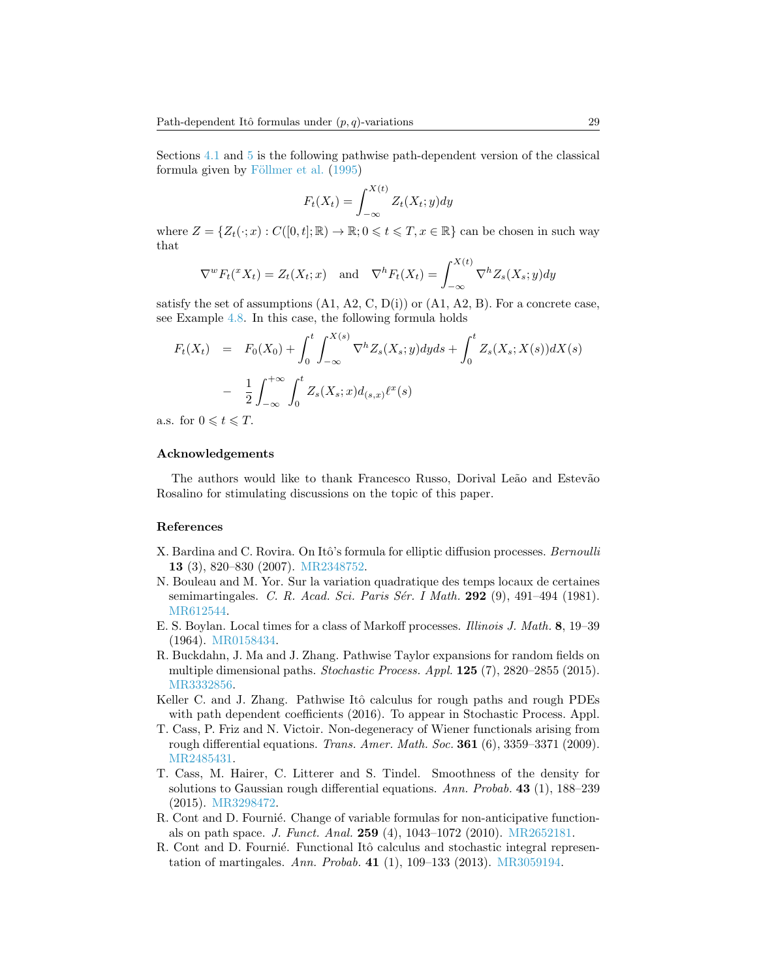Sections [4.1](#page-16-3) and [5](#page-21-0) is the following pathwise path-dependent version of the classical formula given by Föllmer et al.  $(1995)$ 

$$
F_t(X_t) = \int_{-\infty}^{X(t)} Z_t(X_t; y) dy
$$

where  $Z = \{Z_t(\cdot; x) : C([0, t]; \mathbb{R}) \to \mathbb{R}; 0 \leq t \leq T, x \in \mathbb{R}\}\)$  can be chosen in such way that

$$
\nabla^w F_t({}^x X_t) = Z_t(X_t; x) \text{ and } \nabla^h F_t(X_t) = \int_{-\infty}^{X(t)} \nabla^h Z_s(X_s; y) dy
$$

satisfy the set of assumptions  $(A1, A2, C, D(i))$  or  $(A1, A2, B)$ . For a concrete case, see Example [4.8.](#page-20-3) In this case, the following formula holds

$$
F_t(X_t) = F_0(X_0) + \int_0^t \int_{-\infty}^{X(s)} \nabla^h Z_s(X_s; y) dy ds + \int_0^t Z_s(X_s; X(s)) dX(s)
$$
  
- 
$$
\frac{1}{2} \int_{-\infty}^{+\infty} \int_0^t Z_s(X_s; x) d_{(s,x)} \ell^x(s)
$$

a.s. for  $0 \leq t \leq T$ .

## Acknowledgements

The authors would like to thank Francesco Russo, Dorival Leão and Estevão Rosalino for stimulating discussions on the topic of this paper.

#### References

- <span id="page-28-2"></span>X. Bardina and C. Rovira. On Itô's formula for elliptic diffusion processes. Bernoulli 13 (3), 820–830 (2007). [MR2348752.](http://www.ams.org/mathscinet-getitem?mr=MR2348752)
- <span id="page-28-1"></span>N. Bouleau and M. Yor. Sur la variation quadratique des temps locaux de certaines semimartingales. C. R. Acad. Sci. Paris Sér. I Math. 292  $(9)$ , 491–494 (1981). [MR612544.](http://www.ams.org/mathscinet-getitem?mr=MR612544)
- <span id="page-28-8"></span>E. S. Boylan. Local times for a class of Markoff processes. Illinois J. Math. 8, 19–39 (1964). [MR0158434.](http://www.ams.org/mathscinet-getitem?mr=MR0158434)
- <span id="page-28-4"></span>R. Buckdahn, J. Ma and J. Zhang. Pathwise Taylor expansions for random fields on multiple dimensional paths. Stochastic Process. Appl. 125 (7), 2820–2855 (2015). [MR3332856.](http://www.ams.org/mathscinet-getitem?mr=MR3332856)
- <span id="page-28-5"></span>Keller C. and J. Zhang. Pathwise Itô calculus for rough paths and rough PDEs with path dependent coefficients (2016). To appear in Stochastic Process. Appl.
- <span id="page-28-7"></span>T. Cass, P. Friz and N. Victoir. Non-degeneracy of Wiener functionals arising from rough differential equations. Trans. Amer. Math. Soc.  $361(6)$ ,  $3359-3371(2009)$ . [MR2485431.](http://www.ams.org/mathscinet-getitem?mr=MR2485431)
- <span id="page-28-6"></span>T. Cass, M. Hairer, C. Litterer and S. Tindel. Smoothness of the density for solutions to Gaussian rough differential equations. Ann. Probab. 43 (1), 188–239 (2015). [MR3298472.](http://www.ams.org/mathscinet-getitem?mr=MR3298472)
- <span id="page-28-3"></span>R. Cont and D. Fournie. Change of variable formulas for non-anticipative functionals on path space. J. Funct. Anal. 259 (4), 1043–1072 (2010). [MR2652181.](http://www.ams.org/mathscinet-getitem?mr=MR2652181)
- <span id="page-28-0"></span>R. Cont and D. Fournié. Functional Itô calculus and stochastic integral representation of martingales. Ann. Probab. 41 (1), 109–133 (2013). [MR3059194.](http://www.ams.org/mathscinet-getitem?mr=MR3059194)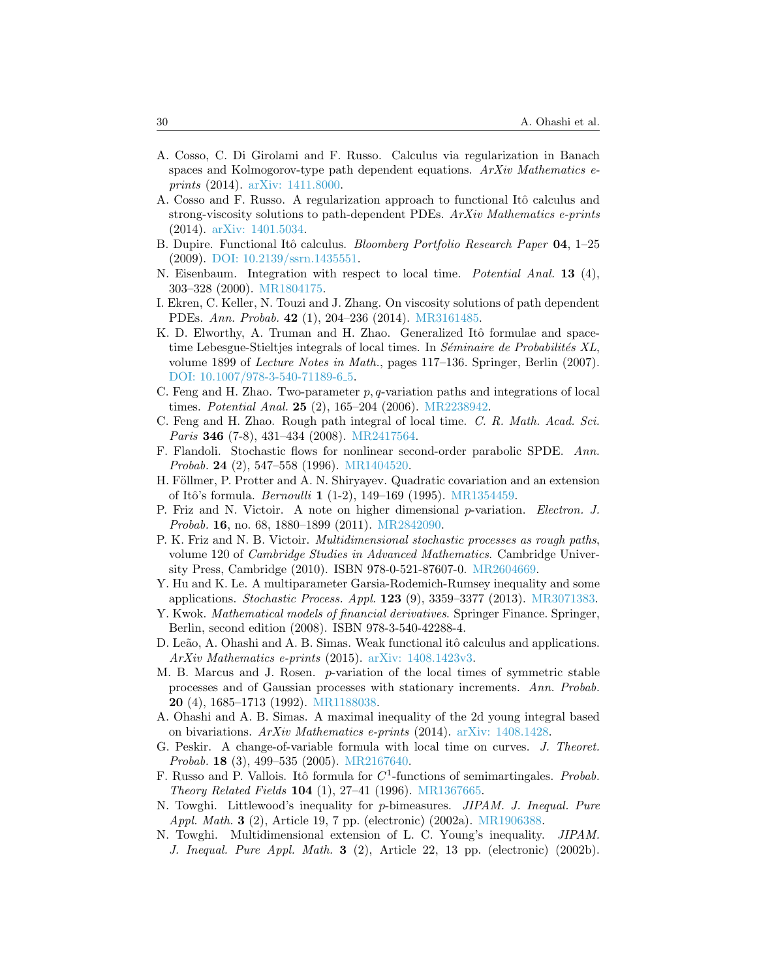- <span id="page-29-11"></span>A. Cosso, C. Di Girolami and F. Russo. Calculus via regularization in Banach spaces and Kolmogorov-type path dependent equations. ArXiv Mathematics eprints (2014). [arXiv: 1411.8000.](http://arxiv.org/abs/1411.8000)
- <span id="page-29-12"></span>A. Cosso and F. Russo. A regularization approach to functional Itô calculus and strong-viscosity solutions to path-dependent PDEs.  $ArXiv$  Mathematics e-prints (2014). [arXiv: 1401.5034.](http://arxiv.org/abs/1401.5034)
- <span id="page-29-8"></span>B. Dupire. Functional Itô calculus. *Bloomberg Portfolio Research Paper* 04, 1–25 (2009). [DOI: 10.2139/ssrn.1435551.](http://dx.doi.org/10.2139/ssrn.1435551)
- <span id="page-29-4"></span>N. Eisenbaum. Integration with respect to local time. Potential Anal. 13 (4), 303–328 (2000). [MR1804175.](http://www.ams.org/mathscinet-getitem?mr=MR1804175)
- <span id="page-29-9"></span>I. Ekren, C. Keller, N. Touzi and J. Zhang. On viscosity solutions of path dependent PDEs. Ann. Probab. 42 (1), 204–236 (2014). [MR3161485.](http://www.ams.org/mathscinet-getitem?mr=MR3161485)
- <span id="page-29-2"></span>K. D. Elworthy, A. Truman and H. Zhao. Generalized Itô formulae and spacetime Lebesgue-Stieltjes integrals of local times. In *Séminaire de Probabilités XL*, volume 1899 of Lecture Notes in Math., pages 117–136. Springer, Berlin (2007). [DOI: 10.1007/978-3-540-71189-6](http://dx.doi.org/10.1007/978-3-540-71189-6_5)<sub>-</sub>5.
- <span id="page-29-1"></span>C. Feng and H. Zhao. Two-parameter  $p, q$ -variation paths and integrations of local times. Potential Anal. 25 (2), 165–204 (2006). [MR2238942.](http://www.ams.org/mathscinet-getitem?mr=MR2238942)
- <span id="page-29-6"></span>C. Feng and H. Zhao. Rough path integral of local time. C. R. Math. Acad. Sci. *Paris* 346 (7-8), 431–434 (2008). [MR2417564.](http://www.ams.org/mathscinet-getitem?mr=MR2417564)
- <span id="page-29-13"></span>F. Flandoli. Stochastic flows for nonlinear second-order parabolic SPDE. Ann. Probab. 24 (2), 547–558 (1996). [MR1404520.](http://www.ams.org/mathscinet-getitem?mr=MR1404520)
- <span id="page-29-3"></span>H. Föllmer, P. Protter and A. N. Shiryayev. Quadratic covariation and an extension of Itô's formula. *Bernoulli* **1** (1-2), 149–169 (1995). [MR1354459.](http://www.ams.org/mathscinet-getitem?mr=MR1354459)
- <span id="page-29-16"></span>P. Friz and N. Victoir. A note on higher dimensional p-variation. Electron. J. Probab. 16, no. 68, 1880–1899 (2011). [MR2842090.](http://www.ams.org/mathscinet-getitem?mr=MR2842090)
- <span id="page-29-7"></span>P. K. Friz and N. B. Victoir. Multidimensional stochastic processes as rough paths, volume 120 of Cambridge Studies in Advanced Mathematics. Cambridge University Press, Cambridge (2010). ISBN 978-0-521-87607-0. [MR2604669.](http://www.ams.org/mathscinet-getitem?mr=MR2604669)
- <span id="page-29-20"></span>Y. Hu and K. Le. A multiparameter Garsia-Rodemich-Rumsey inequality and some applications. *Stochastic Process. Appl.* **123** (9), 3359–3377 (2013). [MR3071383.](http://www.ams.org/mathscinet-getitem?mr=MR3071383)
- <span id="page-29-14"></span>Y. Kwok. *Mathematical models of financial derivatives*. Springer Finance. Springer, Berlin, second edition (2008). ISBN 978-3-540-42288-4.
- <span id="page-29-10"></span>D. Leão, A. Ohashi and A. B. Simas. Weak functional itô calculus and applications. ArXiv Mathematics e-prints (2015). [arXiv: 1408.1423v3.](http://arxiv.org/abs/1408.1423v3)
- <span id="page-29-19"></span>M. B. Marcus and J. Rosen. p-variation of the local times of symmetric stable processes and of Gaussian processes with stationary increments. Ann. Probab. 20 (4), 1685–1713 (1992). [MR1188038.](http://www.ams.org/mathscinet-getitem?mr=MR1188038)
- <span id="page-29-15"></span>A. Ohashi and A. B. Simas. A maximal inequality of the 2d young integral based on bivariations. ArXiv Mathematics e-prints (2014). [arXiv: 1408.1428.](http://arxiv.org/abs/1408.1428)
- <span id="page-29-0"></span>G. Peskir. A change-of-variable formula with local time on curves. J. Theoret. Probab. 18 (3), 499–535 (2005). [MR2167640.](http://www.ams.org/mathscinet-getitem?mr=MR2167640)
- <span id="page-29-5"></span>F. Russo and P. Vallois. Itô formula for  $C<sup>1</sup>$ -functions of semimartingales. Probab. Theory Related Fields 104 (1), 27–41 (1996). [MR1367665.](http://www.ams.org/mathscinet-getitem?mr=MR1367665)
- <span id="page-29-18"></span>N. Towghi. Littlewood's inequality for p-bimeasures. JIPAM. J. Inequal. Pure Appl. Math. **3** (2), Article 19, 7 pp. (electronic) (2002a). [MR1906388.](http://www.ams.org/mathscinet-getitem?mr=MR1906388)
- <span id="page-29-17"></span>N. Towghi. Multidimensional extension of L. C. Young's inequality. JIPAM. J. Inequal. Pure Appl. Math. 3 (2), Article 22, 13 pp. (electronic) (2002b).